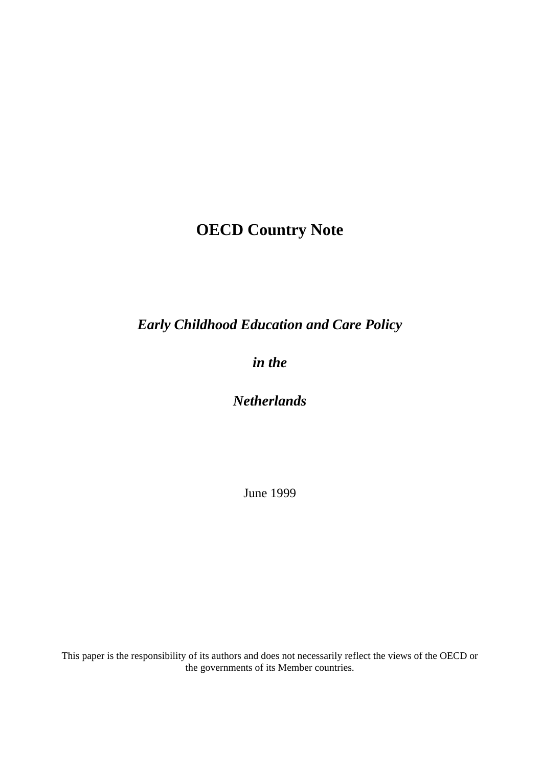# **OECD Country Note**

*Early Childhood Education and Care Policy*

*in the*

*Netherlands*

June 1999

This paper is the responsibility of its authors and does not necessarily reflect the views of the OECD or the governments of its Member countries.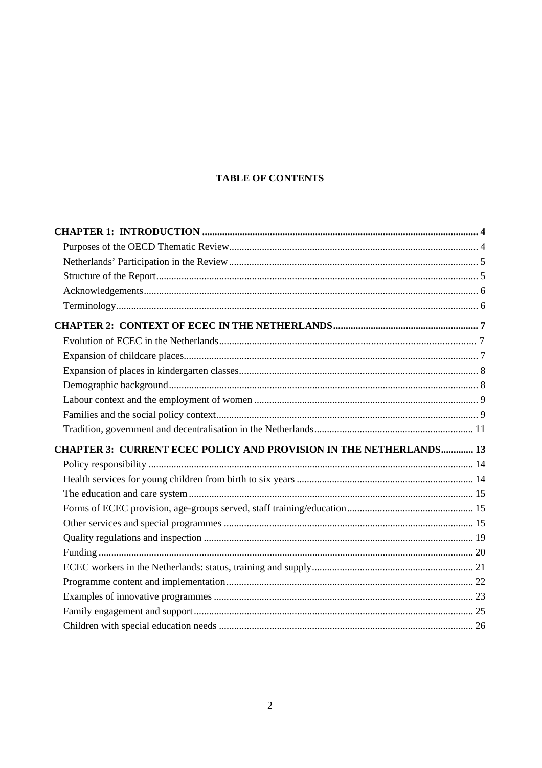# **TABLE OF CONTENTS**

| CHAPTER 3: CURRENT ECEC POLICY AND PROVISION IN THE NETHERLANDS 13 |  |
|--------------------------------------------------------------------|--|
|                                                                    |  |
|                                                                    |  |
|                                                                    |  |
|                                                                    |  |
|                                                                    |  |
|                                                                    |  |
|                                                                    |  |
|                                                                    |  |
|                                                                    |  |
|                                                                    |  |
|                                                                    |  |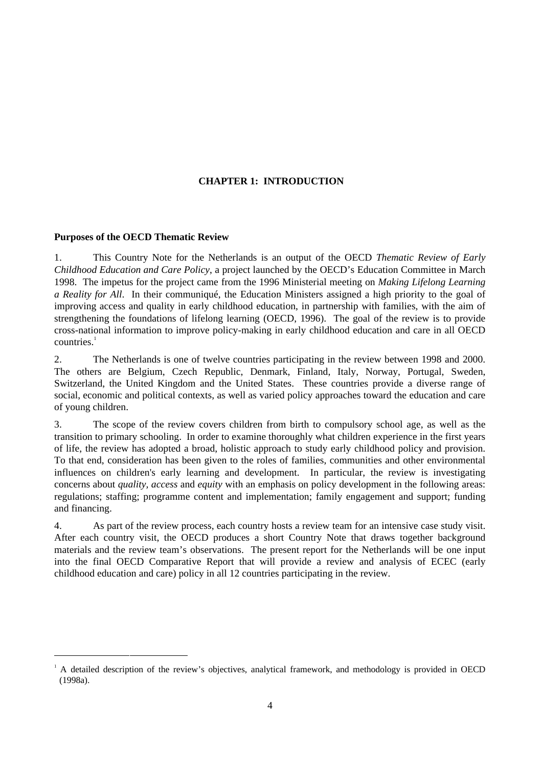# **CHAPTER 1: INTRODUCTION**

### **Purposes of the OECD Thematic Review**

1. This Country Note for the Netherlands is an output of the OECD *Thematic Review of Early Childhood Education and Care Policy*, a project launched by the OECD's Education Committee in March 1998. The impetus for the project came from the 1996 Ministerial meeting on *Making Lifelong Learning a Reality for All*. In their communiqué, the Education Ministers assigned a high priority to the goal of improving access and quality in early childhood education, in partnership with families, with the aim of strengthening the foundations of lifelong learning (OECD, 1996). The goal of the review is to provide cross-national information to improve policy-making in early childhood education and care in all OECD  $countries.<sup>1</sup>$ 

2. The Netherlands is one of twelve countries participating in the review between 1998 and 2000. The others are Belgium, Czech Republic, Denmark, Finland, Italy, Norway, Portugal, Sweden, Switzerland, the United Kingdom and the United States. These countries provide a diverse range of social, economic and political contexts, as well as varied policy approaches toward the education and care of young children.

3. The scope of the review covers children from birth to compulsory school age, as well as the transition to primary schooling. In order to examine thoroughly what children experience in the first years of life, the review has adopted a broad, holistic approach to study early childhood policy and provision. To that end, consideration has been given to the roles of families, communities and other environmental influences on children's early learning and development. In particular, the review is investigating concerns about *quality, access* and *equity* with an emphasis on policy development in the following areas: regulations; staffing; programme content and implementation; family engagement and support; funding and financing.

4. As part of the review process, each country hosts a review team for an intensive case study visit. After each country visit, the OECD produces a short Country Note that draws together background materials and the review team's observations. The present report for the Netherlands will be one input into the final OECD Comparative Report that will provide a review and analysis of ECEC (early childhood education and care) policy in all 12 countries participating in the review.

 $\frac{1}{1}$ <sup>1</sup> A detailed description of the review's objectives, analytical framework, and methodology is provided in OECD (1998a).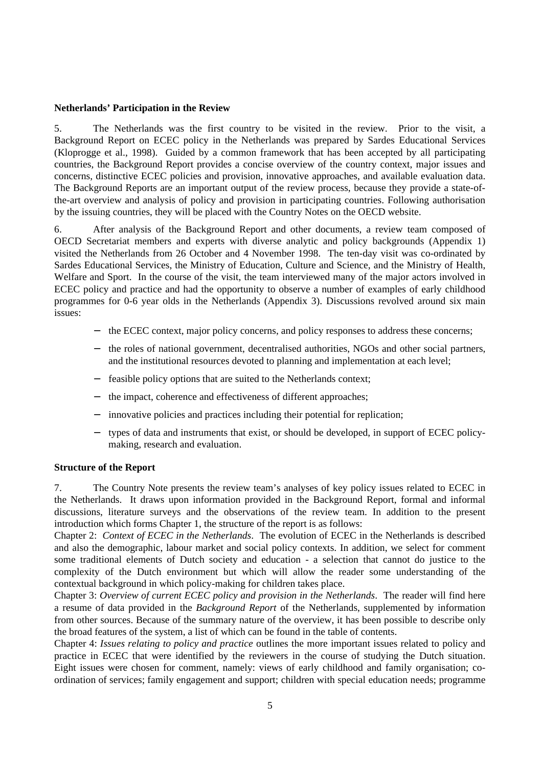### **Netherlands' Participation in the Review**

5. The Netherlands was the first country to be visited in the review. Prior to the visit, a Background Report on ECEC policy in the Netherlands was prepared by Sardes Educational Services (Kloprogge et al., 1998). Guided by a common framework that has been accepted by all participating countries, the Background Report provides a concise overview of the country context, major issues and concerns, distinctive ECEC policies and provision, innovative approaches, and available evaluation data. The Background Reports are an important output of the review process, because they provide a state-ofthe-art overview and analysis of policy and provision in participating countries. Following authorisation by the issuing countries, they will be placed with the Country Notes on the OECD website.

6. After analysis of the Background Report and other documents, a review team composed of OECD Secretariat members and experts with diverse analytic and policy backgrounds (Appendix 1) visited the Netherlands from 26 October and 4 November 1998. The ten-day visit was co-ordinated by Sardes Educational Services, the Ministry of Education, Culture and Science, and the Ministry of Health, Welfare and Sport. In the course of the visit, the team interviewed many of the major actors involved in ECEC policy and practice and had the opportunity to observe a number of examples of early childhood programmes for 0-6 year olds in the Netherlands (Appendix 3). Discussions revolved around six main issues:

- − the ECEC context, major policy concerns, and policy responses to address these concerns;
- the roles of national government, decentralised authorities, NGOs and other social partners, and the institutional resources devoted to planning and implementation at each level;
- feasible policy options that are suited to the Netherlands context;
- the impact, coherence and effectiveness of different approaches;
- innovative policies and practices including their potential for replication;
- − types of data and instruments that exist, or should be developed, in support of ECEC policymaking, research and evaluation.

# **Structure of the Report**

7. The Country Note presents the review team's analyses of key policy issues related to ECEC in the Netherlands. It draws upon information provided in the Background Report, formal and informal discussions, literature surveys and the observations of the review team. In addition to the present introduction which forms Chapter 1, the structure of the report is as follows:

Chapter 2: *Context of ECEC in the Netherlands*. The evolution of ECEC in the Netherlands is described and also the demographic, labour market and social policy contexts. In addition, we select for comment some traditional elements of Dutch society and education - a selection that cannot do justice to the complexity of the Dutch environment but which will allow the reader some understanding of the contextual background in which policy-making for children takes place.

Chapter 3: *Overview of current ECEC policy and provision in the Netherlands*. The reader will find here a resume of data provided in the *Background Report* of the Netherlands, supplemented by information from other sources. Because of the summary nature of the overview, it has been possible to describe only the broad features of the system, a list of which can be found in the table of contents.

Chapter 4: *Issues relating to policy and practice* outlines the more important issues related to policy and practice in ECEC that were identified by the reviewers in the course of studying the Dutch situation. Eight issues were chosen for comment, namely: views of early childhood and family organisation; coordination of services; family engagement and support; children with special education needs; programme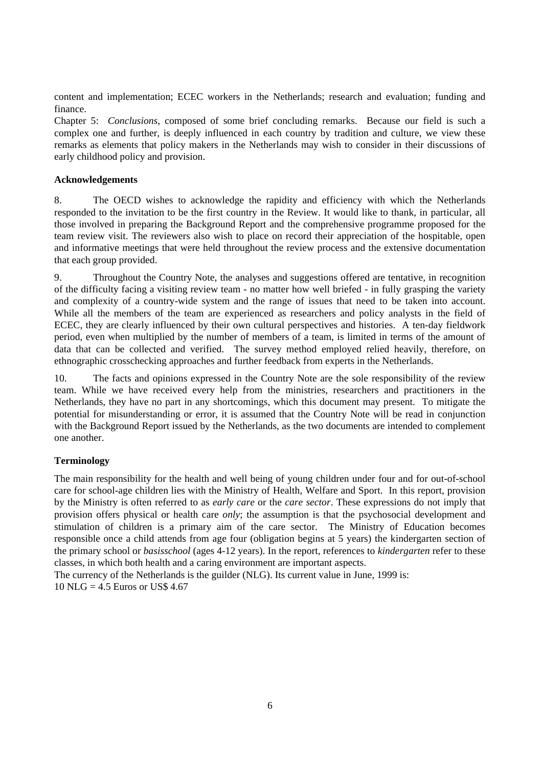content and implementation; ECEC workers in the Netherlands; research and evaluation; funding and finance.

Chapter 5: *Conclusions*, composed of some brief concluding remarks. Because our field is such a complex one and further, is deeply influenced in each country by tradition and culture, we view these remarks as elements that policy makers in the Netherlands may wish to consider in their discussions of early childhood policy and provision.

### **Acknowledgements**

8. The OECD wishes to acknowledge the rapidity and efficiency with which the Netherlands responded to the invitation to be the first country in the Review. It would like to thank, in particular, all those involved in preparing the Background Report and the comprehensive programme proposed for the team review visit. The reviewers also wish to place on record their appreciation of the hospitable, open and informative meetings that were held throughout the review process and the extensive documentation that each group provided.

9. Throughout the Country Note, the analyses and suggestions offered are tentative, in recognition of the difficulty facing a visiting review team - no matter how well briefed - in fully grasping the variety and complexity of a country-wide system and the range of issues that need to be taken into account. While all the members of the team are experienced as researchers and policy analysts in the field of ECEC, they are clearly influenced by their own cultural perspectives and histories. A ten-day fieldwork period, even when multiplied by the number of members of a team, is limited in terms of the amount of data that can be collected and verified. The survey method employed relied heavily, therefore, on ethnographic crosschecking approaches and further feedback from experts in the Netherlands.

10. The facts and opinions expressed in the Country Note are the sole responsibility of the review team. While we have received every help from the ministries, researchers and practitioners in the Netherlands, they have no part in any shortcomings, which this document may present. To mitigate the potential for misunderstanding or error, it is assumed that the Country Note will be read in conjunction with the Background Report issued by the Netherlands, as the two documents are intended to complement one another.

# **Terminology**

The main responsibility for the health and well being of young children under four and for out-of-school care for school-age children lies with the Ministry of Health, Welfare and Sport. In this report, provision by the Ministry is often referred to as *early care* or the *care sector*. These expressions do not imply that provision offers physical or health care *only*; the assumption is that the psychosocial development and stimulation of children is a primary aim of the care sector. The Ministry of Education becomes responsible once a child attends from age four (obligation begins at 5 years) the kindergarten section of the primary school or *basisschool* (ages 4-12 years). In the report, references to *kindergarten* refer to these classes, in which both health and a caring environment are important aspects.

The currency of the Netherlands is the guilder (NLG). Its current value in June, 1999 is:  $10 \text{ N}$ LG = 4.5 Euros or US\$ 4.67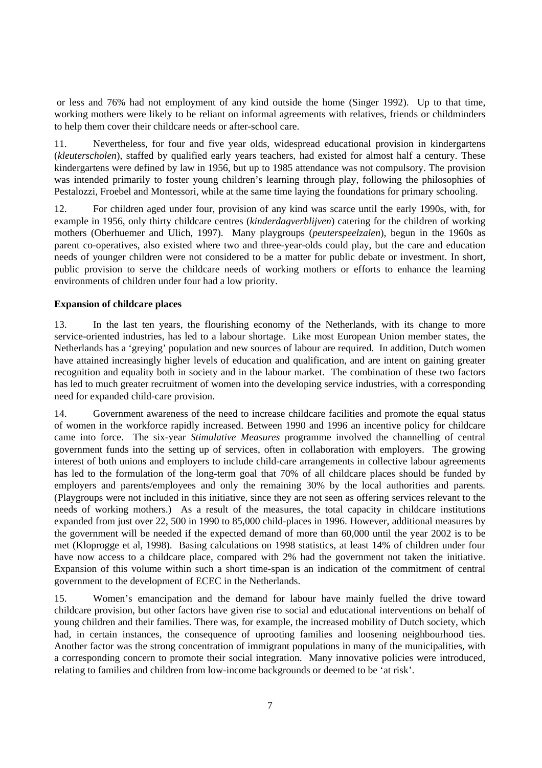or less and 76% had not employment of any kind outside the home (Singer 1992). Up to that time, working mothers were likely to be reliant on informal agreements with relatives, friends or childminders to help them cover their childcare needs or after-school care.

11. Nevertheless, for four and five year olds, widespread educational provision in kindergartens (*kleuterscholen*), staffed by qualified early years teachers, had existed for almost half a century. These kindergartens were defined by law in 1956, but up to 1985 attendance was not compulsory. The provision was intended primarily to foster young children's learning through play, following the philosophies of Pestalozzi, Froebel and Montessori, while at the same time laying the foundations for primary schooling.

12. For children aged under four, provision of any kind was scarce until the early 1990s, with, for example in 1956, only thirty childcare centres (*kinderdagverblijven*) catering for the children of working mothers (Oberhuemer and Ulich, 1997). Many playgroups (*peuterspeelzalen*), begun in the 1960s as parent co-operatives, also existed where two and three-year-olds could play, but the care and education needs of younger children were not considered to be a matter for public debate or investment. In short, public provision to serve the childcare needs of working mothers or efforts to enhance the learning environments of children under four had a low priority.

# **Expansion of childcare places**

13. In the last ten years, the flourishing economy of the Netherlands, with its change to more service-oriented industries, has led to a labour shortage. Like most European Union member states, the Netherlands has a 'greying' population and new sources of labour are required. In addition, Dutch women have attained increasingly higher levels of education and qualification, and are intent on gaining greater recognition and equality both in society and in the labour market. The combination of these two factors has led to much greater recruitment of women into the developing service industries, with a corresponding need for expanded child-care provision.

14. Government awareness of the need to increase childcare facilities and promote the equal status of women in the workforce rapidly increased. Between 1990 and 1996 an incentive policy for childcare came into force. The six-year *Stimulative Measures* programme involved the channelling of central government funds into the setting up of services, often in collaboration with employers. The growing interest of both unions and employers to include child-care arrangements in collective labour agreements has led to the formulation of the long-term goal that 70% of all childcare places should be funded by employers and parents/employees and only the remaining 30% by the local authorities and parents*.* (Playgroups were not included in this initiative, since they are not seen as offering services relevant to the needs of working mothers.) As a result of the measures, the total capacity in childcare institutions expanded from just over 22, 500 in 1990 to 85,000 child-places in 1996. However, additional measures by the government will be needed if the expected demand of more than 60,000 until the year 2002 is to be met (Kloprogge et al, 1998). Basing calculations on 1998 statistics, at least 14% of children under four have now access to a childcare place, compared with 2% had the government not taken the initiative. Expansion of this volume within such a short time-span is an indication of the commitment of central government to the development of ECEC in the Netherlands.

15. Women's emancipation and the demand for labour have mainly fuelled the drive toward childcare provision, but other factors have given rise to social and educational interventions on behalf of young children and their families. There was, for example, the increased mobility of Dutch society, which had, in certain instances, the consequence of uprooting families and loosening neighbourhood ties. Another factor was the strong concentration of immigrant populations in many of the municipalities, with a corresponding concern to promote their social integration. Many innovative policies were introduced, relating to families and children from low-income backgrounds or deemed to be 'at risk'.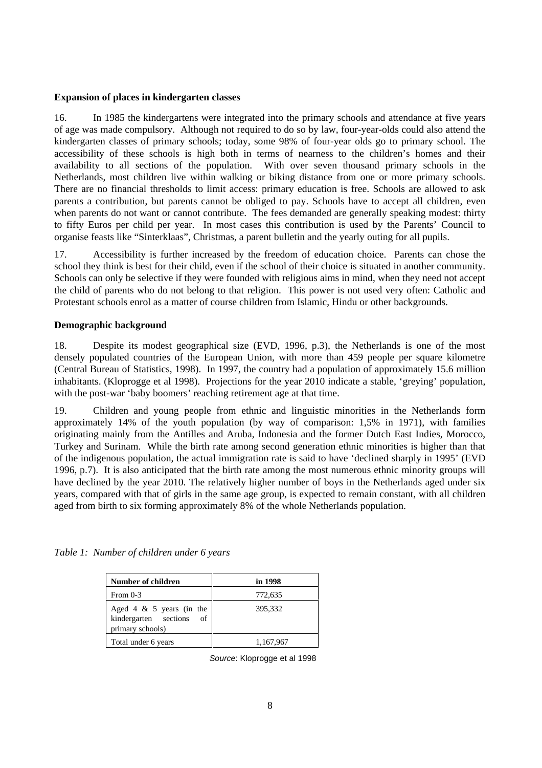### **Expansion of places in kindergarten classes**

16. In 1985 the kindergartens were integrated into the primary schools and attendance at five years of age was made compulsory. Although not required to do so by law, four-year-olds could also attend the kindergarten classes of primary schools; today, some 98% of four-year olds go to primary school. The accessibility of these schools is high both in terms of nearness to the children's homes and their availability to all sections of the population. With over seven thousand primary schools in the Netherlands, most children live within walking or biking distance from one or more primary schools. There are no financial thresholds to limit access: primary education is free. Schools are allowed to ask parents a contribution, but parents cannot be obliged to pay. Schools have to accept all children, even when parents do not want or cannot contribute. The fees demanded are generally speaking modest: thirty to fifty Euros per child per year. In most cases this contribution is used by the Parents' Council to organise feasts like "Sinterklaas", Christmas, a parent bulletin and the yearly outing for all pupils.

17. Accessibility is further increased by the freedom of education choice. Parents can chose the school they think is best for their child, even if the school of their choice is situated in another community. Schools can only be selective if they were founded with religious aims in mind, when they need not accept the child of parents who do not belong to that religion. This power is not used very often: Catholic and Protestant schools enrol as a matter of course children from Islamic, Hindu or other backgrounds.

# **Demographic background**

18. Despite its modest geographical size (EVD, 1996, p.3), the Netherlands is one of the most densely populated countries of the European Union, with more than 459 people per square kilometre (Central Bureau of Statistics, 1998). In 1997, the country had a population of approximately 15.6 million inhabitants. (Kloprogge et al 1998). Projections for the year 2010 indicate a stable, 'greying' population, with the post-war 'baby boomers' reaching retirement age at that time.

19. Children and young people from ethnic and linguistic minorities in the Netherlands form approximately 14% of the youth population (by way of comparison: 1,5% in 1971), with families originating mainly from the Antilles and Aruba, Indonesia and the former Dutch East Indies, Morocco, Turkey and Surinam. While the birth rate among second generation ethnic minorities is higher than that of the indigenous population, the actual immigration rate is said to have 'declined sharply in 1995' (EVD 1996, p.7). It is also anticipated that the birth rate among the most numerous ethnic minority groups will have declined by the year 2010. The relatively higher number of boys in the Netherlands aged under six years, compared with that of girls in the same age group, is expected to remain constant, with all children aged from birth to six forming approximately 8% of the whole Netherlands population.

*Table 1: Number of children under 6 years*

| Number of children                                                             | in 1998   |
|--------------------------------------------------------------------------------|-----------|
| From $0-3$                                                                     | 772,635   |
| Aged 4 $\&$ 5 years (in the<br>kindergarten sections<br>of<br>primary schools) | 395,332   |
| Total under 6 years                                                            | 1,167,967 |

Source: Kloprogge et al 1998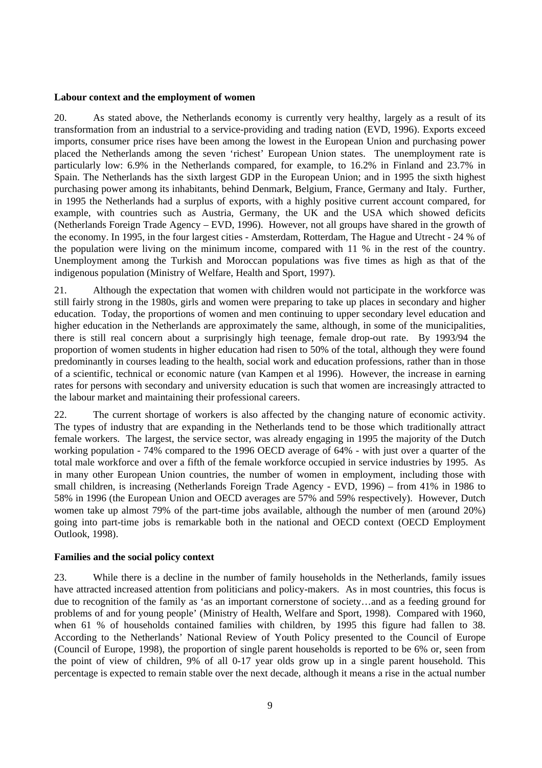#### **Labour context and the employment of women**

20. As stated above, the Netherlands economy is currently very healthy, largely as a result of its transformation from an industrial to a service-providing and trading nation (EVD, 1996). Exports exceed imports, consumer price rises have been among the lowest in the European Union and purchasing power placed the Netherlands among the seven 'richest' European Union states. The unemployment rate is particularly low: 6.9% in the Netherlands compared, for example, to 16.2% in Finland and 23.7% in Spain. The Netherlands has the sixth largest GDP in the European Union; and in 1995 the sixth highest purchasing power among its inhabitants, behind Denmark, Belgium, France, Germany and Italy. Further, in 1995 the Netherlands had a surplus of exports, with a highly positive current account compared, for example, with countries such as Austria, Germany, the UK and the USA which showed deficits (Netherlands Foreign Trade Agency – EVD, 1996). However, not all groups have shared in the growth of the economy. In 1995, in the four largest cities - Amsterdam, Rotterdam, The Hague and Utrecht - 24 % of the population were living on the minimum income, compared with 11 % in the rest of the country. Unemployment among the Turkish and Moroccan populations was five times as high as that of the indigenous population (Ministry of Welfare, Health and Sport, 1997).

21. Although the expectation that women with children would not participate in the workforce was still fairly strong in the 1980s, girls and women were preparing to take up places in secondary and higher education. Today, the proportions of women and men continuing to upper secondary level education and higher education in the Netherlands are approximately the same, although, in some of the municipalities, there is still real concern about a surprisingly high teenage, female drop-out rate. By 1993/94 the proportion of women students in higher education had risen to 50% of the total, although they were found predominantly in courses leading to the health, social work and education professions, rather than in those of a scientific, technical or economic nature (van Kampen et al 1996). However, the increase in earning rates for persons with secondary and university education is such that women are increasingly attracted to the labour market and maintaining their professional careers.

22. The current shortage of workers is also affected by the changing nature of economic activity. The types of industry that are expanding in the Netherlands tend to be those which traditionally attract female workers. The largest, the service sector, was already engaging in 1995 the majority of the Dutch working population - 74% compared to the 1996 OECD average of 64% - with just over a quarter of the total male workforce and over a fifth of the female workforce occupied in service industries by 1995. As in many other European Union countries, the number of women in employment, including those with small children, is increasing (Netherlands Foreign Trade Agency - EVD, 1996) – from 41% in 1986 to 58% in 1996 (the European Union and OECD averages are 57% and 59% respectively). However, Dutch women take up almost 79% of the part-time jobs available, although the number of men (around 20%) going into part-time jobs is remarkable both in the national and OECD context (OECD Employment Outlook, 1998).

# **Families and the social policy context**

23. While there is a decline in the number of family households in the Netherlands, family issues have attracted increased attention from politicians and policy-makers. As in most countries, this focus is due to recognition of the family as 'as an important cornerstone of society…and as a feeding ground for problems of and for young people' (Ministry of Health, Welfare and Sport, 1998). Compared with 1960, when 61 % of households contained families with children, by 1995 this figure had fallen to 38. According to the Netherlands' National Review of Youth Policy presented to the Council of Europe (Council of Europe, 1998), the proportion of single parent households is reported to be 6% or, seen from the point of view of children, 9% of all 0-17 year olds grow up in a single parent household. This percentage is expected to remain stable over the next decade, although it means a rise in the actual number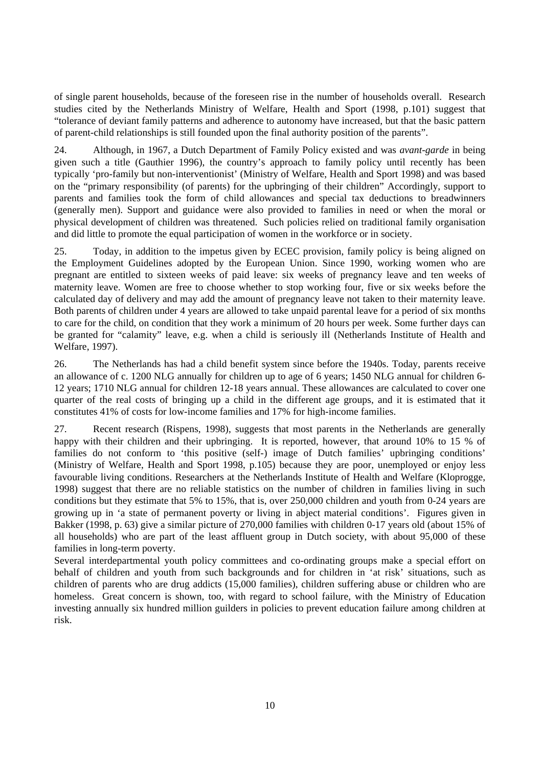of single parent households, because of the foreseen rise in the number of households overall. Research studies cited by the Netherlands Ministry of Welfare, Health and Sport (1998, p.101) suggest that "tolerance of deviant family patterns and adherence to autonomy have increased, but that the basic pattern of parent-child relationships is still founded upon the final authority position of the parents".

24. Although, in 1967, a Dutch Department of Family Policy existed and was *avant-garde* in being given such a title (Gauthier 1996), the country's approach to family policy until recently has been typically 'pro-family but non-interventionist' (Ministry of Welfare, Health and Sport 1998) and was based on the "primary responsibility (of parents) for the upbringing of their children" Accordingly, support to parents and families took the form of child allowances and special tax deductions to breadwinners (generally men). Support and guidance were also provided to families in need or when the moral or physical development of children was threatened. Such policies relied on traditional family organisation and did little to promote the equal participation of women in the workforce or in society.

25. Today, in addition to the impetus given by ECEC provision, family policy is being aligned on the Employment Guidelines adopted by the European Union. Since 1990, working women who are pregnant are entitled to sixteen weeks of paid leave: six weeks of pregnancy leave and ten weeks of maternity leave. Women are free to choose whether to stop working four, five or six weeks before the calculated day of delivery and may add the amount of pregnancy leave not taken to their maternity leave. Both parents of children under 4 years are allowed to take unpaid parental leave for a period of six months to care for the child, on condition that they work a minimum of 20 hours per week. Some further days can be granted for "calamity" leave, e.g. when a child is seriously ill (Netherlands Institute of Health and Welfare, 1997).

26. The Netherlands has had a child benefit system since before the 1940s. Today, parents receive an allowance of c. 1200 NLG annually for children up to age of 6 years; 1450 NLG annual for children 6- 12 years; 1710 NLG annual for children 12-18 years annual. These allowances are calculated to cover one quarter of the real costs of bringing up a child in the different age groups, and it is estimated that it constitutes 41% of costs for low-income families and 17% for high-income families.

27. Recent research (Rispens, 1998), suggests that most parents in the Netherlands are generally happy with their children and their upbringing. It is reported, however, that around 10% to 15 % of families do not conform to 'this positive (self-) image of Dutch families' upbringing conditions' (Ministry of Welfare, Health and Sport 1998, p.105) because they are poor, unemployed or enjoy less favourable living conditions. Researchers at the Netherlands Institute of Health and Welfare (Kloprogge, 1998) suggest that there are no reliable statistics on the number of children in families living in such conditions but they estimate that 5% to 15%, that is, over 250,000 children and youth from 0-24 years are growing up in 'a state of permanent poverty or living in abject material conditions'. Figures given in Bakker (1998, p. 63) give a similar picture of 270,000 families with children 0-17 years old (about 15% of all households) who are part of the least affluent group in Dutch society, with about 95,000 of these families in long-term poverty.

Several interdepartmental youth policy committees and co-ordinating groups make a special effort on behalf of children and youth from such backgrounds and for children in 'at risk' situations, such as children of parents who are drug addicts (15,000 families), children suffering abuse or children who are homeless. Great concern is shown, too, with regard to school failure, with the Ministry of Education investing annually six hundred million guilders in policies to prevent education failure among children at risk.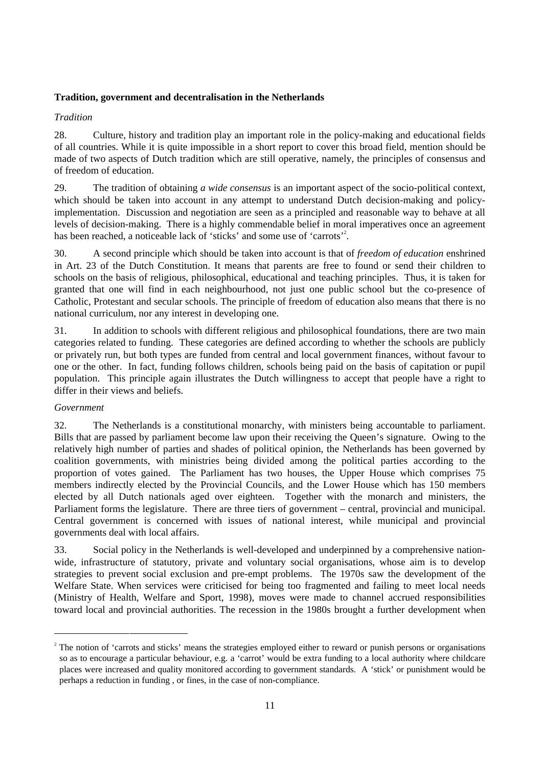# **Tradition, government and decentralisation in the Netherlands**

# *Tradition*

28. Culture, history and tradition play an important role in the policy-making and educational fields of all countries. While it is quite impossible in a short report to cover this broad field, mention should be made of two aspects of Dutch tradition which are still operative, namely, the principles of consensus and of freedom of education.

29. The tradition of obtaining *a wide consensus* is an important aspect of the socio-political context, which should be taken into account in any attempt to understand Dutch decision-making and policyimplementation. Discussion and negotiation are seen as a principled and reasonable way to behave at all levels of decision-making. There is a highly commendable belief in moral imperatives once an agreement has been reached, a noticeable lack of 'sticks' and some use of 'carrots'<sup>2</sup>.

30. A second principle which should be taken into account is that of *freedom of education* enshrined in Art. 23 of the Dutch Constitution. It means that parents are free to found or send their children to schools on the basis of religious, philosophical, educational and teaching principles. Thus, it is taken for granted that one will find in each neighbourhood, not just one public school but the co-presence of Catholic, Protestant and secular schools. The principle of freedom of education also means that there is no national curriculum, nor any interest in developing one.

31. In addition to schools with different religious and philosophical foundations, there are two main categories related to funding. These categories are defined according to whether the schools are publicly or privately run, but both types are funded from central and local government finances, without favour to one or the other. In fact, funding follows children, schools being paid on the basis of capitation or pupil population. This principle again illustrates the Dutch willingness to accept that people have a right to differ in their views and beliefs.

# *Government*

32. The Netherlands is a constitutional monarchy, with ministers being accountable to parliament. Bills that are passed by parliament become law upon their receiving the Queen's signature. Owing to the relatively high number of parties and shades of political opinion, the Netherlands has been governed by coalition governments, with ministries being divided among the political parties according to the proportion of votes gained. The Parliament has two houses, the Upper House which comprises 75 members indirectly elected by the Provincial Councils, and the Lower House which has 150 members elected by all Dutch nationals aged over eighteen. Together with the monarch and ministers, the Parliament forms the legislature. There are three tiers of government – central, provincial and municipal. Central government is concerned with issues of national interest, while municipal and provincial governments deal with local affairs.

33. Social policy in the Netherlands is well-developed and underpinned by a comprehensive nationwide, infrastructure of statutory, private and voluntary social organisations, whose aim is to develop strategies to prevent social exclusion and pre-empt problems. The 1970s saw the development of the Welfare State. When services were criticised for being too fragmented and failing to meet local needs (Ministry of Health, Welfare and Sport, 1998), moves were made to channel accrued responsibilities toward local and provincial authorities. The recession in the 1980s brought a further development when

 $\frac{1}{2}$ <sup>2</sup> The notion of 'carrots and sticks' means the strategies employed either to reward or punish persons or organisations so as to encourage a particular behaviour, e.g. a 'carrot' would be extra funding to a local authority where childcare places were increased and quality monitored according to government standards. A 'stick' or punishment would be perhaps a reduction in funding , or fines, in the case of non-compliance.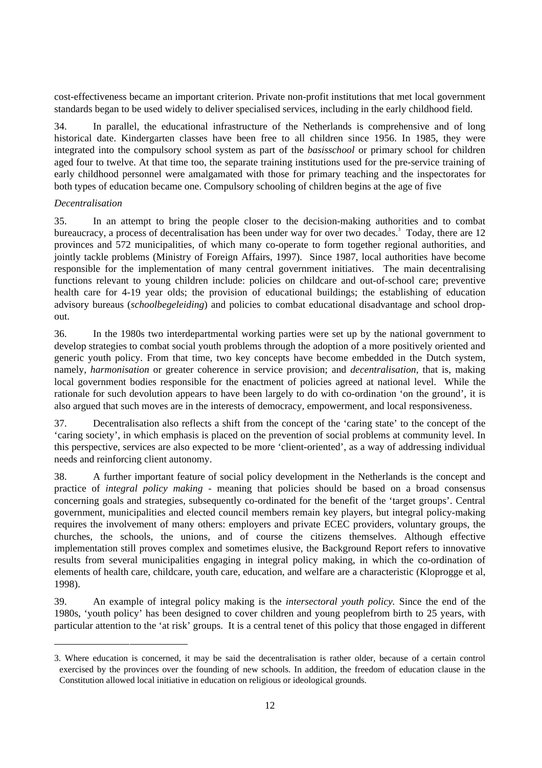cost-effectiveness became an important criterion. Private non-profit institutions that met local government standards began to be used widely to deliver specialised services, including in the early childhood field.

34. In parallel, the educational infrastructure of the Netherlands is comprehensive and of long historical date. Kindergarten classes have been free to all children since 1956. In 1985, they were integrated into the compulsory school system as part of the *basisschool* or primary school for children aged four to twelve. At that time too, the separate training institutions used for the pre-service training of early childhood personnel were amalgamated with those for primary teaching and the inspectorates for both types of education became one. Compulsory schooling of children begins at the age of five

### *Decentralisation*

 $\overline{a}$ 

35. In an attempt to bring the people closer to the decision-making authorities and to combat bureaucracy, a process of decentralisation has been under way for over two decades.<sup>3</sup> Today, there are 12 provinces and 572 municipalities, of which many co-operate to form together regional authorities, and jointly tackle problems (Ministry of Foreign Affairs, 1997). Since 1987, local authorities have become responsible for the implementation of many central government initiatives. The main decentralising functions relevant to young children include: policies on childcare and out-of-school care; preventive health care for 4-19 year olds; the provision of educational buildings; the establishing of education advisory bureaus (*schoolbegeleiding*) and policies to combat educational disadvantage and school dropout.

36. In the 1980s two interdepartmental working parties were set up by the national government to develop strategies to combat social youth problems through the adoption of a more positively oriented and generic youth policy. From that time, two key concepts have become embedded in the Dutch system, namely, *harmonisation* or greater coherence in service provision; and *decentralisation*, that is, making local government bodies responsible for the enactment of policies agreed at national level. While the rationale for such devolution appears to have been largely to do with co-ordination 'on the ground', it is also argued that such moves are in the interests of democracy, empowerment, and local responsiveness.

37. Decentralisation also reflects a shift from the concept of the 'caring state' to the concept of the 'caring society', in which emphasis is placed on the prevention of social problems at community level. In this perspective, services are also expected to be more 'client-oriented', as a way of addressing individual needs and reinforcing client autonomy.

38. A further important feature of social policy development in the Netherlands is the concept and practice of *integral policy making* - meaning that policies should be based on a broad consensus concerning goals and strategies, subsequently co-ordinated for the benefit of the 'target groups'. Central government, municipalities and elected council members remain key players, but integral policy-making requires the involvement of many others: employers and private ECEC providers, voluntary groups, the churches, the schools, the unions, and of course the citizens themselves. Although effective implementation still proves complex and sometimes elusive, the Background Report refers to innovative results from several municipalities engaging in integral policy making, in which the co-ordination of elements of health care, childcare, youth care, education, and welfare are a characteristic (Kloprogge et al, 1998).

39. An example of integral policy making is the *intersectoral youth policy.* Since the end of the 1980s, 'youth policy' has been designed to cover children and young peoplefrom birth to 25 years, with particular attention to the 'at risk' groups. It is a central tenet of this policy that those engaged in different

<sup>3.</sup> Where education is concerned, it may be said the decentralisation is rather older, because of a certain control exercised by the provinces over the founding of new schools. In addition, the freedom of education clause in the Constitution allowed local initiative in education on religious or ideological grounds.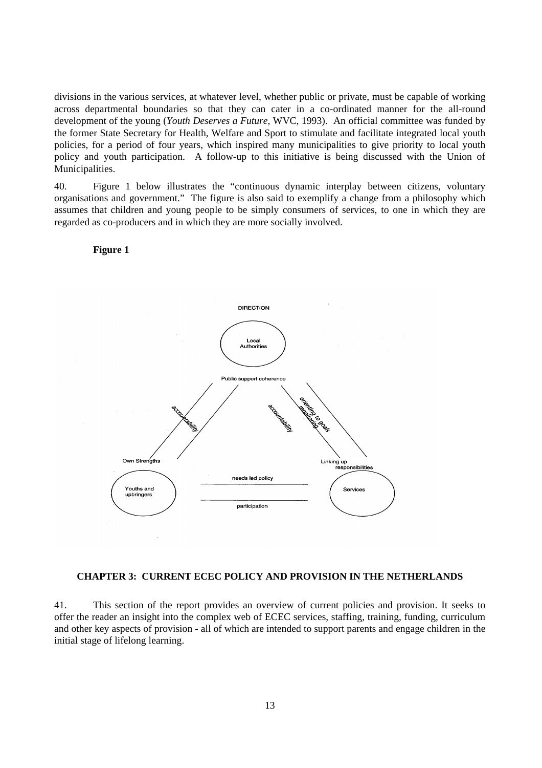divisions in the various services, at whatever level, whether public or private, must be capable of working across departmental boundaries so that they can cater in a co-ordinated manner for the all-round development of the young (*Youth Deserves a Future,* WVC, 1993). An official committee was funded by the former State Secretary for Health, Welfare and Sport to stimulate and facilitate integrated local youth policies, for a period of four years, which inspired many municipalities to give priority to local youth policy and youth participation. A follow-up to this initiative is being discussed with the Union of Municipalities.

40. Figure 1 below illustrates the "continuous dynamic interplay between citizens, voluntary organisations and government." The figure is also said to exemplify a change from a philosophy which assumes that children and young people to be simply consumers of services, to one in which they are regarded as co-producers and in which they are more socially involved.

### **Figure 1**



# **CHAPTER 3: CURRENT ECEC POLICY AND PROVISION IN THE NETHERLANDS**

41. This section of the report provides an overview of current policies and provision. It seeks to offer the reader an insight into the complex web of ECEC services, staffing, training, funding, curriculum and other key aspects of provision - all of which are intended to support parents and engage children in the initial stage of lifelong learning.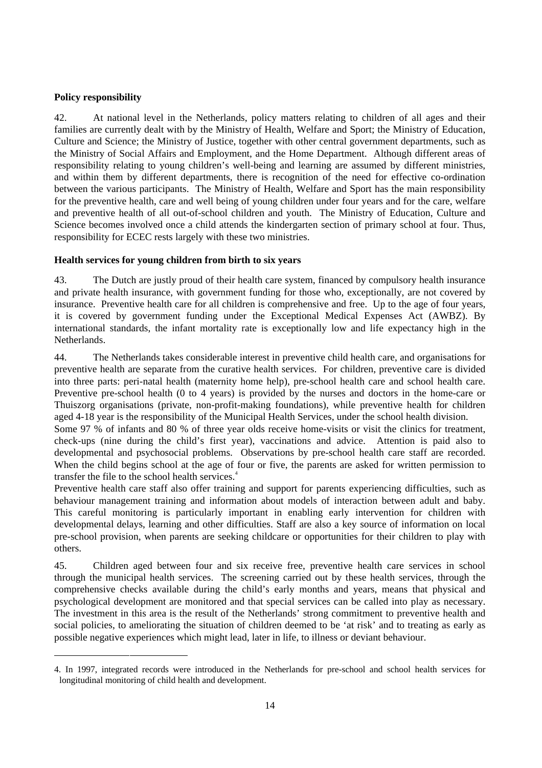# **Policy responsibility**

1

42. At national level in the Netherlands, policy matters relating to children of all ages and their families are currently dealt with by the Ministry of Health, Welfare and Sport; the Ministry of Education, Culture and Science; the Ministry of Justice, together with other central government departments, such as the Ministry of Social Affairs and Employment, and the Home Department. Although different areas of responsibility relating to young children's well-being and learning are assumed by different ministries, and within them by different departments, there is recognition of the need for effective co-ordination between the various participants. The Ministry of Health, Welfare and Sport has the main responsibility for the preventive health, care and well being of young children under four years and for the care, welfare and preventive health of all out-of-school children and youth. The Ministry of Education, Culture and Science becomes involved once a child attends the kindergarten section of primary school at four. Thus, responsibility for ECEC rests largely with these two ministries.

# **Health services for young children from birth to six years**

43. The Dutch are justly proud of their health care system, financed by compulsory health insurance and private health insurance, with government funding for those who, exceptionally, are not covered by insurance. Preventive health care for all children is comprehensive and free. Up to the age of four years, it is covered by government funding under the Exceptional Medical Expenses Act (AWBZ). By international standards, the infant mortality rate is exceptionally low and life expectancy high in the Netherlands.

44. The Netherlands takes considerable interest in preventive child health care, and organisations for preventive health are separate from the curative health services. For children, preventive care is divided into three parts: peri-natal health (maternity home help), pre-school health care and school health care. Preventive pre-school health (0 to 4 years) is provided by the nurses and doctors in the home-care or Thuiszorg organisations (private, non-profit-making foundations), while preventive health for children aged 4-18 year is the responsibility of the Municipal Health Services, under the school health division.

Some 97 % of infants and 80 % of three year olds receive home-visits or visit the clinics for treatment, check-ups (nine during the child's first year), vaccinations and advice. Attention is paid also to developmental and psychosocial problems. Observations by pre-school health care staff are recorded. When the child begins school at the age of four or five, the parents are asked for written permission to transfer the file to the school health services.<sup>4</sup>

Preventive health care staff also offer training and support for parents experiencing difficulties, such as behaviour management training and information about models of interaction between adult and baby. This careful monitoring is particularly important in enabling early intervention for children with developmental delays, learning and other difficulties. Staff are also a key source of information on local pre-school provision, when parents are seeking childcare or opportunities for their children to play with others.

45. Children aged between four and six receive free, preventive health care services in school through the municipal health services. The screening carried out by these health services, through the comprehensive checks available during the child's early months and years, means that physical and psychological development are monitored and that special services can be called into play as necessary. The investment in this area is the result of the Netherlands' strong commitment to preventive health and social policies, to ameliorating the situation of children deemed to be 'at risk' and to treating as early as possible negative experiences which might lead, later in life, to illness or deviant behaviour.

<sup>4.</sup> In 1997, integrated records were introduced in the Netherlands for pre-school and school health services for longitudinal monitoring of child health and development.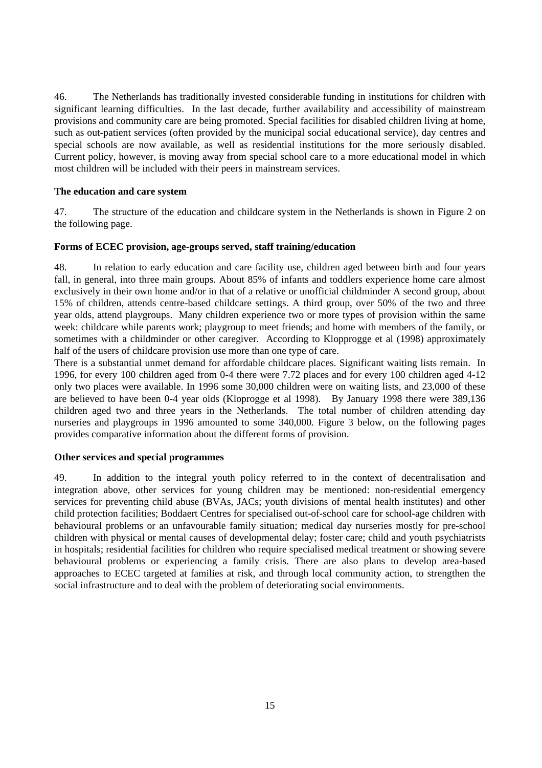46. The Netherlands has traditionally invested considerable funding in institutions for children with significant learning difficulties. In the last decade, further availability and accessibility of mainstream provisions and community care are being promoted. Special facilities for disabled children living at home, such as out-patient services (often provided by the municipal social educational service), day centres and special schools are now available, as well as residential institutions for the more seriously disabled. Current policy, however, is moving away from special school care to a more educational model in which most children will be included with their peers in mainstream services.

# **The education and care system**

47. The structure of the education and childcare system in the Netherlands is shown in Figure 2 on the following page.

### **Forms of ECEC provision, age-groups served, staff training/education**

48. In relation to early education and care facility use, children aged between birth and four years fall, in general, into three main groups. About 85% of infants and toddlers experience home care almost exclusively in their own home and/or in that of a relative or unofficial childminder A second group, about 15% of children, attends centre-based childcare settings. A third group, over 50% of the two and three year olds, attend playgroups. Many children experience two or more types of provision within the same week: childcare while parents work; playgroup to meet friends; and home with members of the family, or sometimes with a childminder or other caregiver. According to Klopprogge et al (1998) approximately half of the users of childcare provision use more than one type of care.

There is a substantial unmet demand for affordable childcare places. Significant waiting lists remain. In 1996, for every 100 children aged from 0-4 there were 7.72 places and for every 100 children aged 4-12 only two places were available. In 1996 some 30,000 children were on waiting lists, and 23,000 of these are believed to have been 0-4 year olds (Kloprogge et al 1998). By January 1998 there were 389,136 children aged two and three years in the Netherlands. The total number of children attending day nurseries and playgroups in 1996 amounted to some 340,000. Figure 3 below, on the following pages provides comparative information about the different forms of provision.

#### **Other services and special programmes**

49. In addition to the integral youth policy referred to in the context of decentralisation and integration above, other services for young children may be mentioned: non-residential emergency services for preventing child abuse (BVAs, JACs; youth divisions of mental health institutes) and other child protection facilities; Boddaert Centres for specialised out-of-school care for school-age children with behavioural problems or an unfavourable family situation; medical day nurseries mostly for pre-school children with physical or mental causes of developmental delay; foster care; child and youth psychiatrists in hospitals; residential facilities for children who require specialised medical treatment or showing severe behavioural problems or experiencing a family crisis. There are also plans to develop area-based approaches to ECEC targeted at families at risk, and through local community action, to strengthen the social infrastructure and to deal with the problem of deteriorating social environments.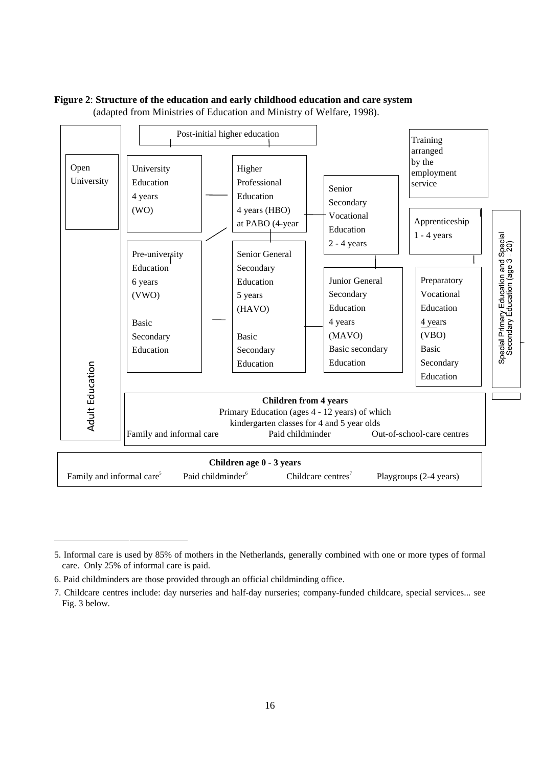



-

<sup>5.</sup> Informal care is used by 85% of mothers in the Netherlands, generally combined with one or more types of formal care. Only 25% of informal care is paid.

<sup>6.</sup> Paid childminders are those provided through an official childminding office.

<sup>7.</sup> Childcare centres include: day nurseries and half-day nurseries; company-funded childcare, special services... see Fig. 3 below.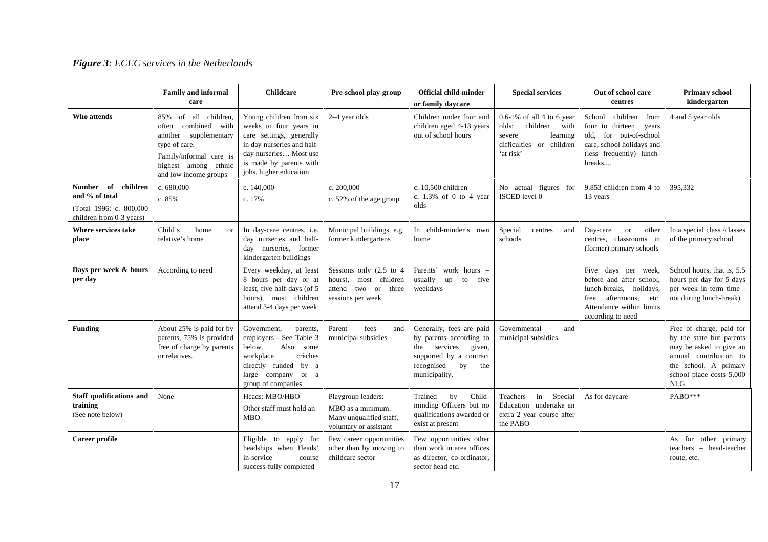# *Figure 3: ECEC services in the Netherlands*

|                                                                                                | <b>Family and informal</b><br>care                                                                                                                                      | <b>Childcare</b>                                                                                                                                                                           | Pre-school play-group                                                                        | <b>Official child-minder</b><br>or family daycare                                                                                                    | <b>Special services</b>                                                                                               | Out of school care<br>centres                                                                                                                           | <b>Primary school</b><br>kindergarten                                                                                                                                        |
|------------------------------------------------------------------------------------------------|-------------------------------------------------------------------------------------------------------------------------------------------------------------------------|--------------------------------------------------------------------------------------------------------------------------------------------------------------------------------------------|----------------------------------------------------------------------------------------------|------------------------------------------------------------------------------------------------------------------------------------------------------|-----------------------------------------------------------------------------------------------------------------------|---------------------------------------------------------------------------------------------------------------------------------------------------------|------------------------------------------------------------------------------------------------------------------------------------------------------------------------------|
| Who attends                                                                                    | of all children,<br>85%<br>combined with<br>often<br>another supplementary<br>type of care.<br>Family/informal care is<br>highest among ethnic<br>and low income groups | Young children from six<br>weeks to four years in<br>care settings, generally<br>in day nurseries and half-<br>day nurseries Most use<br>is made by parents with<br>jobs, higher education | 2-4 year olds                                                                                | Children under four and<br>children aged 4-13 years<br>out of school hours                                                                           | $0.6-1\%$ of all 4 to 6 year<br>children with<br>olds:<br>learning<br>severe<br>difficulties or children<br>'at risk' | School children<br>from<br>four to thirteen years<br>old, for out-of-school<br>care, school holidays and<br>(less frequently) lunch-<br>breaks          | 4 and 5 year olds                                                                                                                                                            |
| Number of<br>children<br>and % of total<br>(Total 1996: c. 800,000<br>children from 0-3 years) | c. 680,000<br>c. 85%                                                                                                                                                    | c. $140,000$<br>c. 17%                                                                                                                                                                     | c. 200,000<br>c. 52% of the age group                                                        | c. 10,500 children<br>c. $1.3\%$ of 0 to 4 year<br>olds                                                                                              | No actual figures for<br>ISCED level 0                                                                                | 9,853 children from 4 to<br>13 years                                                                                                                    | 395,332                                                                                                                                                                      |
| Where services take<br>place                                                                   | Child's<br>home<br>or<br>relative's home                                                                                                                                | In day-care centres, i.e.<br>day nurseries and half-<br>day nurseries, former<br>kindergarten buildings                                                                                    | Municipal buildings, e.g.<br>former kindergartens                                            | In child-minder's own<br>home                                                                                                                        | Special<br>centres<br>and<br>schools                                                                                  | Day-care<br>or<br>other<br>centres, classrooms in<br>(former) primary schools                                                                           | In a special class /classes<br>of the primary school                                                                                                                         |
| Days per week & hours<br>per day                                                               | According to need                                                                                                                                                       | Every weekday, at least<br>8 hours per day or at<br>least, five half-days (of 5<br>hours), most children<br>attend 3-4 days per week                                                       | Sessions only (2.5 to 4<br>hours), most children<br>attend two or three<br>sessions per week | Parents' work hours -<br>usually<br>five<br>up<br>to<br>weekdays                                                                                     |                                                                                                                       | Five days per week,<br>before and after school,<br>lunch-breaks, holidays,<br>afternoons, etc.<br>free<br>Attendance within limits<br>according to need | School hours, that is, 5.5<br>hours per day for 5 days<br>per week in term time -<br>not during lunch-break)                                                                 |
| <b>Funding</b>                                                                                 | About 25% is paid for by<br>parents, 75% is provided<br>free of charge by parents<br>or relatives.                                                                      | Government,<br>parents,<br>employers - See Table 3<br>below.<br>Also some<br>workplace<br>crèches<br>directly funded by a<br>large company or a<br>group of companies                      | fees<br>Parent<br>and<br>municipal subsidies                                                 | Generally, fees are paid<br>by parents according to<br>services<br>given,<br>the<br>supported by a contract<br>recognised by<br>the<br>municipality. | Governmental<br>and<br>municipal subsidies                                                                            |                                                                                                                                                         | Free of charge, paid for<br>by the state but parents<br>may be asked to give an<br>annual contribution to<br>the school. A primary<br>school place costs 5,000<br><b>NLG</b> |
| Staff qualifications and<br>training<br>(See note below)                                       | None                                                                                                                                                                    | Heads: MBO/HBO<br>Other staff must hold an<br><b>MBO</b>                                                                                                                                   | Playgroup leaders:<br>MBO as a minimum.<br>Many unqualified staff,<br>voluntary or assistant | Trained<br>by<br>Child-<br>minding Officers but no<br>qualifications awarded or<br>exist at present                                                  | in<br>Special<br>Teachers<br>Education undertake an<br>extra 2 year course after<br>the PABO                          | As for daycare                                                                                                                                          | PABO***                                                                                                                                                                      |
| Career profile                                                                                 |                                                                                                                                                                         | Eligible to apply for<br>headships when Heads'<br>in-service<br>course<br>success-fully completed                                                                                          | Few career opportunities<br>other than by moving to<br>childcare sector                      | Few opportunities other<br>than work in area offices<br>as director, co-ordinator,<br>sector head etc.                                               |                                                                                                                       |                                                                                                                                                         | As for other primary<br>teachers - head-teacher<br>route, etc.                                                                                                               |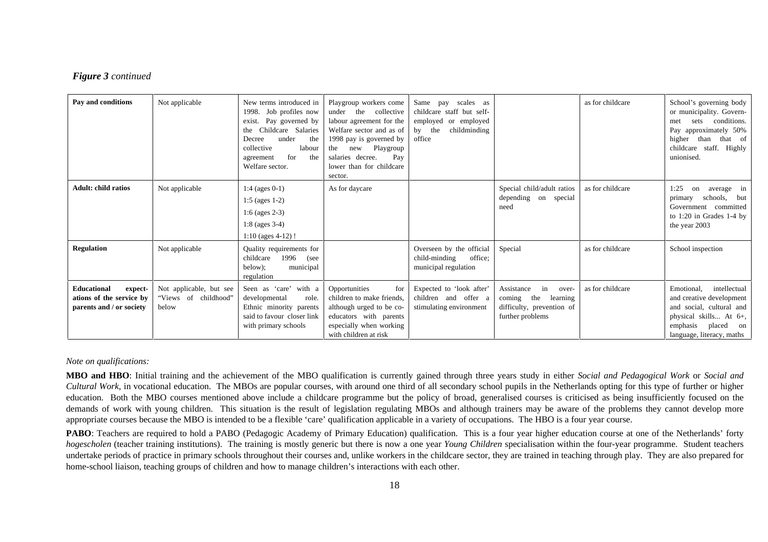#### *Figure 3 continued*

| Pay and conditions                                                                    | Not applicable                                           | New terms introduced in<br>Job profiles now<br>1998.<br>Pay governed by<br>exist.<br>the Childcare Salaries<br>under<br>the<br>Decree<br>collective<br>labour<br>for<br>the<br>agreement<br>Welfare sector. | Playgroup workers come<br>under the collective<br>labour agreement for the<br>Welfare sector and as of<br>1998 pay is governed by<br>Playgroup<br>the<br>new<br>salaries decree.<br>Pay<br>lower than for childcare<br>sector. | Same pay<br>scales as<br>childcare staff but self-<br>employed or employed<br>childminding<br>by<br>the<br>office |                                                                                                         | as for childcare | School's governing body<br>or municipality. Govern-<br>conditions.<br>sets<br>met<br>Pay approximately 50%<br>higher than that of<br>childcare staff. Highly<br>unionised. |
|---------------------------------------------------------------------------------------|----------------------------------------------------------|-------------------------------------------------------------------------------------------------------------------------------------------------------------------------------------------------------------|--------------------------------------------------------------------------------------------------------------------------------------------------------------------------------------------------------------------------------|-------------------------------------------------------------------------------------------------------------------|---------------------------------------------------------------------------------------------------------|------------------|----------------------------------------------------------------------------------------------------------------------------------------------------------------------------|
| <b>Adult: child ratios</b>                                                            | Not applicable                                           | 1:4 (ages $0-1$ )<br>1:5 (ages $1-2$ )<br>1:6 (ages $2-3$ )<br>$1:8$ (ages 3-4)<br>$1:10$ (ages 4-12)!                                                                                                      | As for daycare                                                                                                                                                                                                                 |                                                                                                                   | Special child/adult ratios<br>depending on special<br>need                                              | as for childcare | 1:25<br>average in<br>on<br>schools, but<br>primary<br>Government committed<br>to $1:20$ in Grades 1-4 by<br>the year 2003                                                 |
| <b>Regulation</b>                                                                     | Not applicable                                           | Quality requirements for<br>1996<br>childcare<br>(see<br>municipal<br>below);<br>regulation                                                                                                                 |                                                                                                                                                                                                                                | Overseen by the official<br>child-minding<br>office:<br>municipal regulation                                      | Special                                                                                                 | as for childcare | School inspection                                                                                                                                                          |
| <b>Educational</b><br>expect-<br>ations of the service by<br>parents and / or society | Not applicable, but see<br>"Views of childhood"<br>below | Seen as 'care'<br>with a<br>developmental<br>role.<br>Ethnic minority parents<br>said to favour closer link<br>with primary schools                                                                         | for<br>Opportunities<br>children to make friends.<br>although urged to be co-<br>educators with parents<br>especially when working<br>with children at risk                                                                    | Expected to 'look after'<br>children and offer<br>stimulating environment                                         | in<br>Assistance<br>over-<br>the<br>coming<br>learning<br>difficulty, prevention of<br>further problems | as for childcare | intellectual<br>Emotional,<br>and creative development<br>and social, cultural and<br>physical skills At 6+,<br>emphasis<br>placed on<br>language, literacy, maths         |

#### *Note on qualifications:*

**MBO and HBO**: Initial training and the achievement of the MBO qualification is currently gained through three years study in either *Social and Pedagogical Work* or *Social and Cultural Work*, in vocational education. The MBOs are popular courses, with around one third of all secondary school pupils in the Netherlands opting for this type of further or higher education. Both the MBO courses mentioned above include a childcare programme but the policy of broad, generalised courses is criticised as being insufficiently focused on the demands of work with young children. This situation is the result of legislation regulating MBOs and although trainers may be aware of the problems they cannot develop more appropriate courses because the MBO is intended to be a flexible 'care' qualification applicable in a variety of occupations. The HBO is a four year course.

PABO: Teachers are required to hold a PABO (Pedagogic Academy of Primary Education) qualification. This is a four year higher education course at one of the Netherlands' forty *hogescholen* (teacher training institutions). The training is mostly generic but there is now a one year *Young Children* specialisation within the four-year programme. Student teachers undertake periods of practice in primary schools throughout their courses and, unlike workers in the childcare sector, they are trained in teaching through play. They are also prepared for home-school liaison, teaching groups of children and how to manage children's interactions with each other.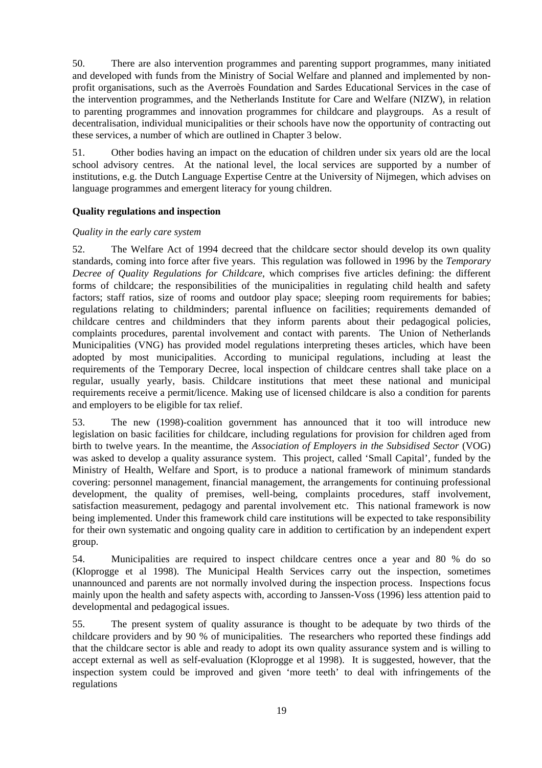50. There are also intervention programmes and parenting support programmes, many initiated and developed with funds from the Ministry of Social Welfare and planned and implemented by nonprofit organisations, such as the Averroès Foundation and Sardes Educational Services in the case of the intervention programmes, and the Netherlands Institute for Care and Welfare (NIZW), in relation to parenting programmes and innovation programmes for childcare and playgroups. As a result of decentralisation, individual municipalities or their schools have now the opportunity of contracting out these services, a number of which are outlined in Chapter 3 below.

51. Other bodies having an impact on the education of children under six years old are the local school advisory centres. At the national level, the local services are supported by a number of institutions, e.g. the Dutch Language Expertise Centre at the University of Nijmegen, which advises on language programmes and emergent literacy for young children.

# **Quality regulations and inspection**

# *Quality in the early care system*

52. The Welfare Act of 1994 decreed that the childcare sector should develop its own quality standards, coming into force after five years. This regulation was followed in 1996 by the *Temporary Decree of Quality Regulations for Childcare*, which comprises five articles defining: the different forms of childcare; the responsibilities of the municipalities in regulating child health and safety factors; staff ratios, size of rooms and outdoor play space; sleeping room requirements for babies; regulations relating to childminders; parental influence on facilities; requirements demanded of childcare centres and childminders that they inform parents about their pedagogical policies, complaints procedures, parental involvement and contact with parents. The Union of Netherlands Municipalities (VNG) has provided model regulations interpreting theses articles, which have been adopted by most municipalities. According to municipal regulations, including at least the requirements of the Temporary Decree, local inspection of childcare centres shall take place on a regular, usually yearly, basis. Childcare institutions that meet these national and municipal requirements receive a permit/licence. Making use of licensed childcare is also a condition for parents and employers to be eligible for tax relief.

53. The new (1998)-coalition government has announced that it too will introduce new legislation on basic facilities for childcare, including regulations for provision for children aged from birth to twelve years. In the meantime, the *Association of Employers in the Subsidised Sector* (VOG) was asked to develop a quality assurance system. This project, called 'Small Capital', funded by the Ministry of Health, Welfare and Sport, is to produce a national framework of minimum standards covering: personnel management, financial management, the arrangements for continuing professional development, the quality of premises, well-being, complaints procedures, staff involvement, satisfaction measurement, pedagogy and parental involvement etc. This national framework is now being implemented. Under this framework child care institutions will be expected to take responsibility for their own systematic and ongoing quality care in addition to certification by an independent expert group.

54. Municipalities are required to inspect childcare centres once a year and 80 % do so (Kloprogge et al 1998). The Municipal Health Services carry out the inspection, sometimes unannounced and parents are not normally involved during the inspection process. Inspections focus mainly upon the health and safety aspects with, according to Janssen-Voss (1996) less attention paid to developmental and pedagogical issues.

55. The present system of quality assurance is thought to be adequate by two thirds of the childcare providers and by 90 % of municipalities. The researchers who reported these findings add that the childcare sector is able and ready to adopt its own quality assurance system and is willing to accept external as well as self-evaluation (Kloprogge et al 1998). It is suggested, however, that the inspection system could be improved and given 'more teeth' to deal with infringements of the regulations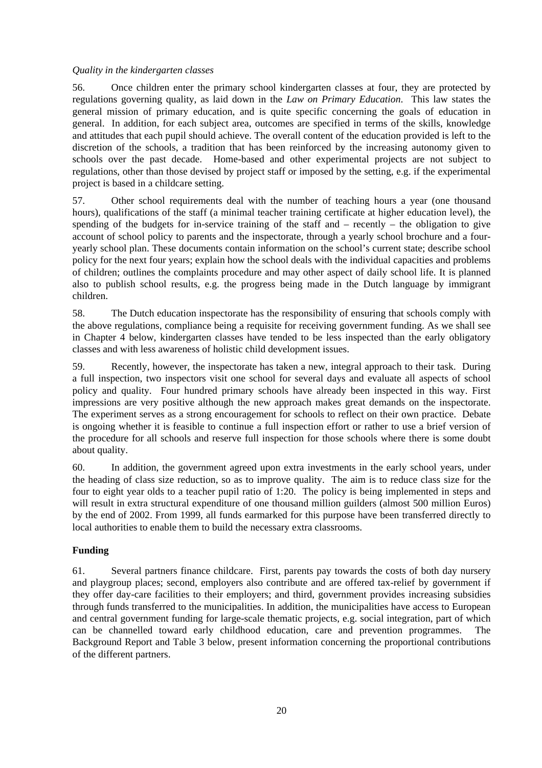# *Quality in the kindergarten classes*

56. Once children enter the primary school kindergarten classes at four, they are protected by regulations governing quality, as laid down in the *Law on Primary Education*. This law states the general mission of primary education, and is quite specific concerning the goals of education in general. In addition, for each subject area, outcomes are specified in terms of the skills, knowledge and attitudes that each pupil should achieve. The overall content of the education provided is left to the discretion of the schools, a tradition that has been reinforced by the increasing autonomy given to schools over the past decade. Home-based and other experimental projects are not subject to regulations, other than those devised by project staff or imposed by the setting, e.g. if the experimental project is based in a childcare setting.

57. Other school requirements deal with the number of teaching hours a year (one thousand hours), qualifications of the staff (a minimal teacher training certificate at higher education level), the spending of the budgets for in-service training of the staff and – recently – the obligation to give account of school policy to parents and the inspectorate, through a yearly school brochure and a fouryearly school plan. These documents contain information on the school's current state; describe school policy for the next four years; explain how the school deals with the individual capacities and problems of children; outlines the complaints procedure and may other aspect of daily school life. It is planned also to publish school results, e.g. the progress being made in the Dutch language by immigrant children.

58. The Dutch education inspectorate has the responsibility of ensuring that schools comply with the above regulations, compliance being a requisite for receiving government funding. As we shall see in Chapter 4 below, kindergarten classes have tended to be less inspected than the early obligatory classes and with less awareness of holistic child development issues.

59. Recently, however, the inspectorate has taken a new, integral approach to their task. During a full inspection, two inspectors visit one school for several days and evaluate all aspects of school policy and quality. Four hundred primary schools have already been inspected in this way. First impressions are very positive although the new approach makes great demands on the inspectorate. The experiment serves as a strong encouragement for schools to reflect on their own practice. Debate is ongoing whether it is feasible to continue a full inspection effort or rather to use a brief version of the procedure for all schools and reserve full inspection for those schools where there is some doubt about quality.

60. In addition, the government agreed upon extra investments in the early school years, under the heading of class size reduction, so as to improve quality. The aim is to reduce class size for the four to eight year olds to a teacher pupil ratio of 1:20. The policy is being implemented in steps and will result in extra structural expenditure of one thousand million guilders (almost 500 million Euros) by the end of 2002. From 1999, all funds earmarked for this purpose have been transferred directly to local authorities to enable them to build the necessary extra classrooms.

# **Funding**

61. Several partners finance childcare. First, parents pay towards the costs of both day nursery and playgroup places; second, employers also contribute and are offered tax-relief by government if they offer day-care facilities to their employers; and third, government provides increasing subsidies through funds transferred to the municipalities. In addition, the municipalities have access to European and central government funding for large-scale thematic projects, e.g. social integration, part of which can be channelled toward early childhood education, care and prevention programmes. The Background Report and Table 3 below, present information concerning the proportional contributions of the different partners.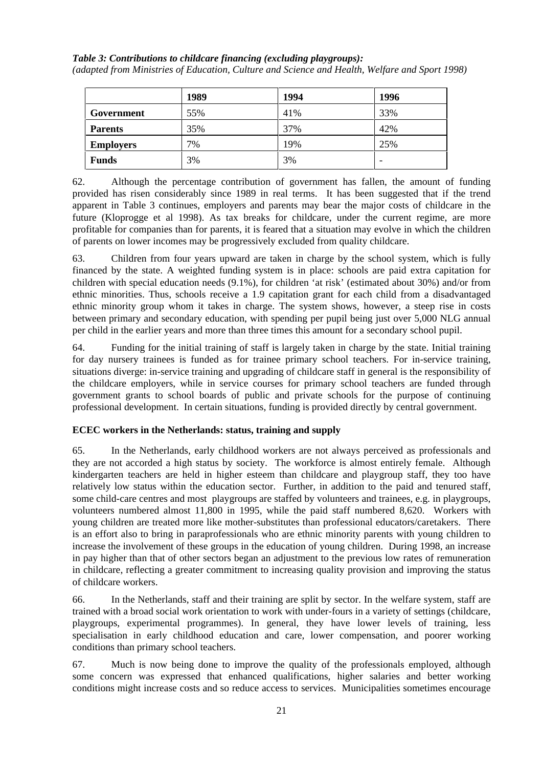# *Table 3: Contributions to childcare financing (excluding playgroups):*

*(adapted from Ministries of Education, Culture and Science and Health, Welfare and Sport 1998)*

|                  | 1989 | 1994 | 1996 |
|------------------|------|------|------|
| Government       | 55%  | 41%  | 33%  |
| <b>Parents</b>   | 35%  | 37%  | 42%  |
| <b>Employers</b> | 7%   | 19%  | 25%  |
| <b>Funds</b>     | 3%   | 3%   |      |

62. Although the percentage contribution of government has fallen, the amount of funding provided has risen considerably since 1989 in real terms. It has been suggested that if the trend apparent in Table 3 continues, employers and parents may bear the major costs of childcare in the future (Kloprogge et al 1998). As tax breaks for childcare, under the current regime, are more profitable for companies than for parents, it is feared that a situation may evolve in which the children of parents on lower incomes may be progressively excluded from quality childcare.

63. Children from four years upward are taken in charge by the school system, which is fully financed by the state. A weighted funding system is in place: schools are paid extra capitation for children with special education needs (9.1%), for children 'at risk' (estimated about 30%) and/or from ethnic minorities. Thus, schools receive a 1.9 capitation grant for each child from a disadvantaged ethnic minority group whom it takes in charge. The system shows, however, a steep rise in costs between primary and secondary education, with spending per pupil being just over 5,000 NLG annual per child in the earlier years and more than three times this amount for a secondary school pupil.

64. Funding for the initial training of staff is largely taken in charge by the state. Initial training for day nursery trainees is funded as for trainee primary school teachers. For in-service training, situations diverge: in-service training and upgrading of childcare staff in general is the responsibility of the childcare employers, while in service courses for primary school teachers are funded through government grants to school boards of public and private schools for the purpose of continuing professional development. In certain situations, funding is provided directly by central government.

# **ECEC workers in the Netherlands: status, training and supply**

65. In the Netherlands, early childhood workers are not always perceived as professionals and they are not accorded a high status by society. The workforce is almost entirely female. Although kindergarten teachers are held in higher esteem than childcare and playgroup staff, they too have relatively low status within the education sector. Further, in addition to the paid and tenured staff, some child-care centres and most playgroups are staffed by volunteers and trainees, e.g. in playgroups, volunteers numbered almost 11,800 in 1995, while the paid staff numbered 8,620. Workers with young children are treated more like mother-substitutes than professional educators/caretakers. There is an effort also to bring in paraprofessionals who are ethnic minority parents with young children to increase the involvement of these groups in the education of young children. During 1998, an increase in pay higher than that of other sectors began an adjustment to the previous low rates of remuneration in childcare, reflecting a greater commitment to increasing quality provision and improving the status of childcare workers.

66. In the Netherlands, staff and their training are split by sector. In the welfare system, staff are trained with a broad social work orientation to work with under-fours in a variety of settings (childcare, playgroups, experimental programmes). In general, they have lower levels of training, less specialisation in early childhood education and care, lower compensation, and poorer working conditions than primary school teachers.

67. Much is now being done to improve the quality of the professionals employed, although some concern was expressed that enhanced qualifications, higher salaries and better working conditions might increase costs and so reduce access to services. Municipalities sometimes encourage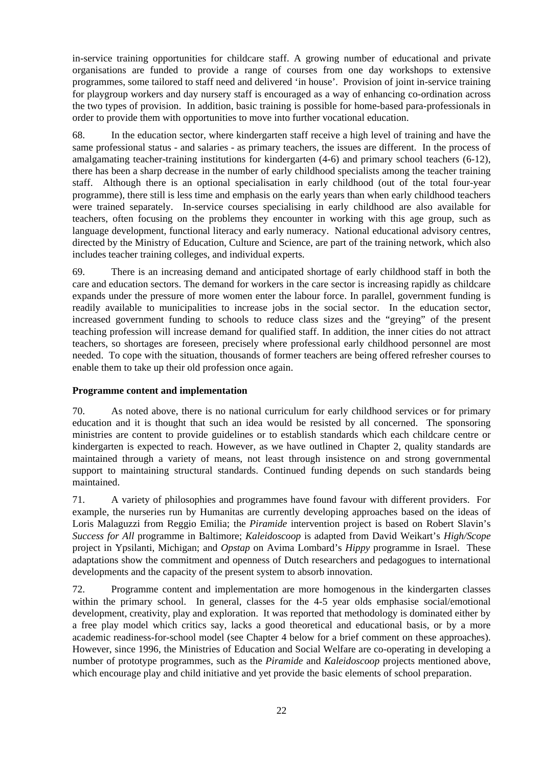in-service training opportunities for childcare staff. A growing number of educational and private organisations are funded to provide a range of courses from one day workshops to extensive programmes, some tailored to staff need and delivered 'in house'. Provision of joint in-service training for playgroup workers and day nursery staff is encouraged as a way of enhancing co-ordination across the two types of provision. In addition, basic training is possible for home-based para-professionals in order to provide them with opportunities to move into further vocational education.

68. In the education sector, where kindergarten staff receive a high level of training and have the same professional status - and salaries - as primary teachers, the issues are different. In the process of amalgamating teacher-training institutions for kindergarten (4-6) and primary school teachers (6-12), there has been a sharp decrease in the number of early childhood specialists among the teacher training staff. Although there is an optional specialisation in early childhood (out of the total four-year programme), there still is less time and emphasis on the early years than when early childhood teachers were trained separately. In-service courses specialising in early childhood are also available for teachers, often focusing on the problems they encounter in working with this age group, such as language development, functional literacy and early numeracy. National educational advisory centres, directed by the Ministry of Education, Culture and Science, are part of the training network, which also includes teacher training colleges, and individual experts.

69. There is an increasing demand and anticipated shortage of early childhood staff in both the care and education sectors. The demand for workers in the care sector is increasing rapidly as childcare expands under the pressure of more women enter the labour force. In parallel, government funding is readily available to municipalities to increase jobs in the social sector. In the education sector, increased government funding to schools to reduce class sizes and the "greying" of the present teaching profession will increase demand for qualified staff. In addition, the inner cities do not attract teachers, so shortages are foreseen, precisely where professional early childhood personnel are most needed. To cope with the situation, thousands of former teachers are being offered refresher courses to enable them to take up their old profession once again.

# **Programme content and implementation**

70. As noted above, there is no national curriculum for early childhood services or for primary education and it is thought that such an idea would be resisted by all concerned. The sponsoring ministries are content to provide guidelines or to establish standards which each childcare centre or kindergarten is expected to reach. However, as we have outlined in Chapter 2, quality standards are maintained through a variety of means, not least through insistence on and strong governmental support to maintaining structural standards. Continued funding depends on such standards being maintained.

71. A variety of philosophies and programmes have found favour with different providers. For example, the nurseries run by Humanitas are currently developing approaches based on the ideas of Loris Malaguzzi from Reggio Emilia; the *Piramide* intervention project is based on Robert Slavin's *Success for All* programme in Baltimore; *Kaleidoscoop* is adapted from David Weikart's *High/Scope* project in Ypsilanti, Michigan; and *Opstap* on Avima Lombard's *Hippy* programme in Israel. These adaptations show the commitment and openness of Dutch researchers and pedagogues to international developments and the capacity of the present system to absorb innovation.

72. Programme content and implementation are more homogenous in the kindergarten classes within the primary school. In general, classes for the 4-5 year olds emphasise social/emotional development, creativity, play and exploration. It was reported that methodology is dominated either by a free play model which critics say, lacks a good theoretical and educational basis, or by a more academic readiness-for-school model (see Chapter 4 below for a brief comment on these approaches). However, since 1996, the Ministries of Education and Social Welfare are co-operating in developing a number of prototype programmes, such as the *Piramide* and *Kaleidoscoop* projects mentioned above, which encourage play and child initiative and yet provide the basic elements of school preparation.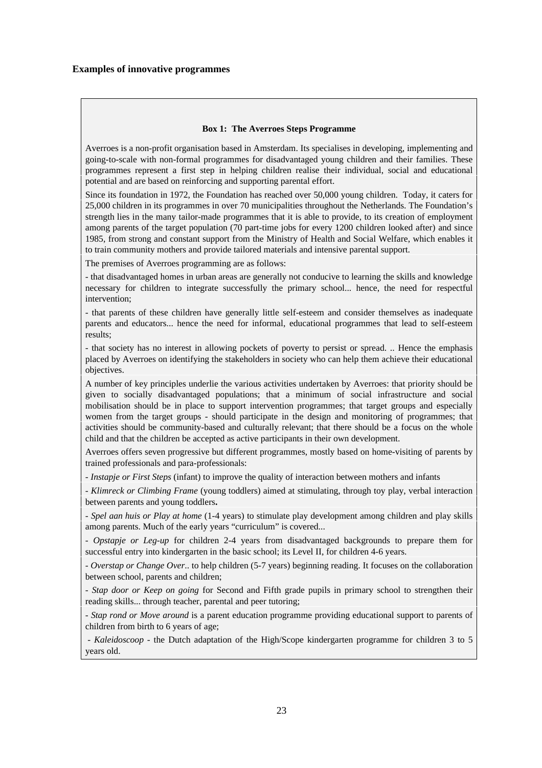#### **Box 1: The Averroes Steps Programme**

Averroes is a non-profit organisation based in Amsterdam. Its specialises in developing, implementing and going-to-scale with non-formal programmes for disadvantaged young children and their families. These programmes represent a first step in helping children realise their individual, social and educational potential and are based on reinforcing and supporting parental effort.

Since its foundation in 1972, the Foundation has reached over 50,000 young children. Today, it caters for 25,000 children in its programmes in over 70 municipalities throughout the Netherlands. The Foundation's strength lies in the many tailor-made programmes that it is able to provide, to its creation of employment among parents of the target population (70 part-time jobs for every 1200 children looked after) and since 1985, from strong and constant support from the Ministry of Health and Social Welfare, which enables it to train community mothers and provide tailored materials and intensive parental support.

The premises of Averroes programming are as follows:

- that disadvantaged homes in urban areas are generally not conducive to learning the skills and knowledge necessary for children to integrate successfully the primary school... hence, the need for respectful intervention;

- that parents of these children have generally little self-esteem and consider themselves as inadequate parents and educators... hence the need for informal, educational programmes that lead to self-esteem results;

- that society has no interest in allowing pockets of poverty to persist or spread. .. Hence the emphasis placed by Averroes on identifying the stakeholders in society who can help them achieve their educational objectives.

A number of key principles underlie the various activities undertaken by Averroes: that priority should be given to socially disadvantaged populations; that a minimum of social infrastructure and social mobilisation should be in place to support intervention programmes; that target groups and especially women from the target groups - should participate in the design and monitoring of programmes; that activities should be community-based and culturally relevant; that there should be a focus on the whole child and that the children be accepted as active participants in their own development.

Averroes offers seven progressive but different programmes, mostly based on home-visiting of parents by trained professionals and para-professionals:

*- Instapje or First Steps* (infant) to improve the quality of interaction between mothers and infants

*- Klimreck or Climbing Frame* (young toddlers) aimed at stimulating, through toy play, verbal interaction between parents and young toddlers**.**

*- Spel aan huis or Play at home* (1-4 years) to stimulate play development among children and play skills among parents. Much of the early years "curriculum" is covered...

*- Opstapje or Leg-up* for children 2-4 years from disadvantaged backgrounds to prepare them for successful entry into kindergarten in the basic school; its Level II, for children 4-6 years.

*- Overstap or Change Over*.. to help children (5-7 years) beginning reading. It focuses on the collaboration between school, parents and children;

*- Stap door or Keep on going* for Second and Fifth grade pupils in primary school to strengthen their reading skills... through teacher, parental and peer tutoring;

*- Stap rond or Move around* is a parent education programme providing educational support to parents of children from birth to 6 years of age;

 *- Kaleidoscoop* - the Dutch adaptation of the High/Scope kindergarten programme for children 3 to 5 years old.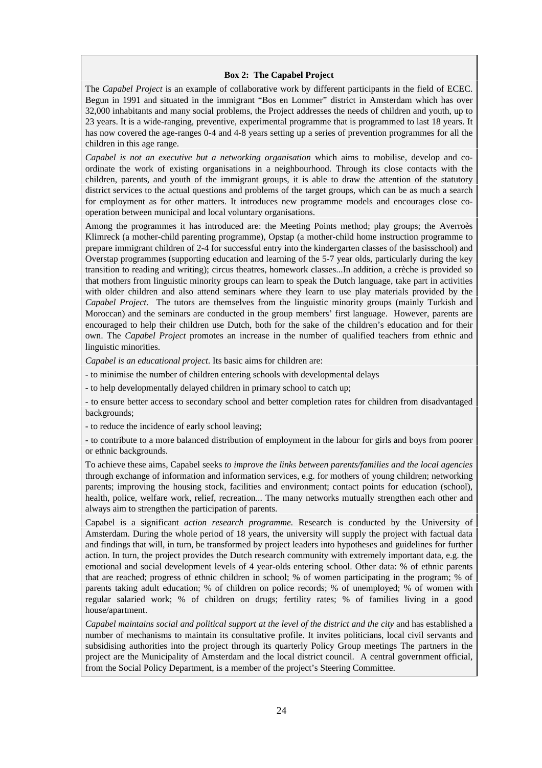#### **Box 2: The Capabel Project**

The *Capabel Project* is an example of collaborative work by different participants in the field of ECEC. Begun in 1991 and situated in the immigrant "Bos en Lommer" district in Amsterdam which has over 32,000 inhabitants and many social problems, the Project addresses the needs of children and youth, up to 23 years. It is a wide-ranging, preventive, experimental programme that is programmed to last 18 years. It has now covered the age-ranges 0-4 and 4-8 years setting up a series of prevention programmes for all the children in this age range.

*Capabel is not an executive but a networking organisation* which aims to mobilise, develop and coordinate the work of existing organisations in a neighbourhood. Through its close contacts with the children, parents, and youth of the immigrant groups, it is able to draw the attention of the statutory district services to the actual questions and problems of the target groups, which can be as much a search for employment as for other matters. It introduces new programme models and encourages close cooperation between municipal and local voluntary organisations.

Among the programmes it has introduced are: the Meeting Points method; play groups; the Averroès Klimreck (a mother-child parenting programme), Opstap (a mother-child home instruction programme to prepare immigrant children of 2-4 for successful entry into the kindergarten classes of the basisschool) and Overstap programmes (supporting education and learning of the 5-7 year olds, particularly during the key transition to reading and writing); circus theatres, homework classes...In addition, a crèche is provided so that mothers from linguistic minority groups can learn to speak the Dutch language, take part in activities with older children and also attend seminars where they learn to use play materials provided by the *Capabel Project*. The tutors are themselves from the linguistic minority groups (mainly Turkish and Moroccan) and the seminars are conducted in the group members' first language. However, parents are encouraged to help their children use Dutch, both for the sake of the children's education and for their own. The *Capabel Project* promotes an increase in the number of qualified teachers from ethnic and linguistic minorities.

*Capabel is an educational project*. Its basic aims for children are:

- to minimise the number of children entering schools with developmental delays

- to help developmentally delayed children in primary school to catch up;

- to ensure better access to secondary school and better completion rates for children from disadvantaged backgrounds;

- to reduce the incidence of early school leaving;

- to contribute to a more balanced distribution of employment in the labour for girls and boys from poorer or ethnic backgrounds.

To achieve these aims, Capabel seeks *to improve the links between parents/families and the local agencies* through exchange of information and information services, e.g. for mothers of young children; networking parents; improving the housing stock, facilities and environment; contact points for education (school), health, police, welfare work, relief, recreation... The many networks mutually strengthen each other and always aim to strengthen the participation of parents.

Capabel is a significant *action research programme.* Research is conducted by the University of Amsterdam. During the whole period of 18 years, the university will supply the project with factual data and findings that will, in turn, be transformed by project leaders into hypotheses and guidelines for further action. In turn, the project provides the Dutch research community with extremely important data, e.g. the emotional and social development levels of 4 year-olds entering school. Other data: % of ethnic parents that are reached; progress of ethnic children in school; % of women participating in the program; % of parents taking adult education; % of children on police records; % of unemployed; % of women with regular salaried work; % of children on drugs; fertility rates; % of families living in a good house/apartment.

*Capabel maintains social and political support at the level of the district and the city* and has established a number of mechanisms to maintain its consultative profile. It invites politicians, local civil servants and subsidising authorities into the project through its quarterly Policy Group meetings The partners in the project are the Municipality of Amsterdam and the local district council. A central government official, from the Social Policy Department, is a member of the project's Steering Committee.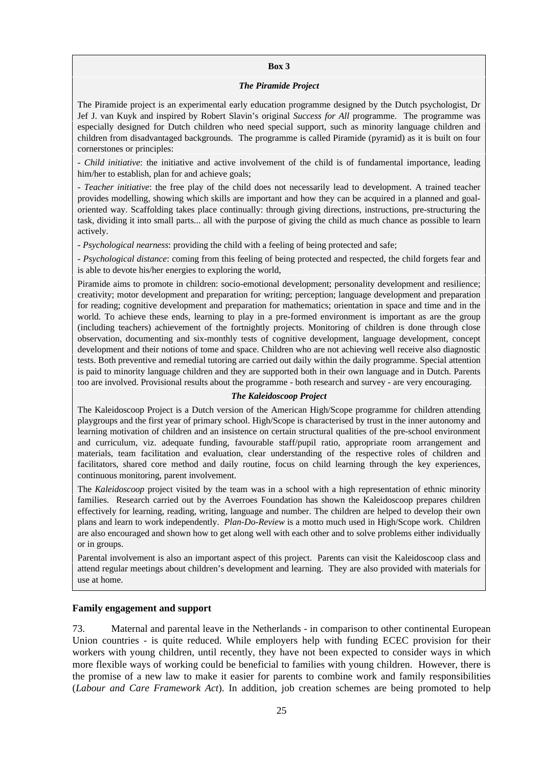#### **Box 3**

#### *The Piramide Project*

The Piramide project is an experimental early education programme designed by the Dutch psychologist, Dr Jef J. van Kuyk and inspired by Robert Slavin's original *Success for All* programme. The programme was especially designed for Dutch children who need special support, such as minority language children and children from disadvantaged backgrounds. The programme is called Piramide (pyramid) as it is built on four cornerstones or principles:

*- Child initiative*: the initiative and active involvement of the child is of fundamental importance, leading him/her to establish, plan for and achieve goals;

*- Teacher initiative*: the free play of the child does not necessarily lead to development. A trained teacher provides modelling, showing which skills are important and how they can be acquired in a planned and goaloriented way. Scaffolding takes place continually: through giving directions, instructions, pre-structuring the task, dividing it into small parts... all with the purpose of giving the child as much chance as possible to learn actively.

*- Psychological nearness*: providing the child with a feeling of being protected and safe;

*- Psychological distance*: coming from this feeling of being protected and respected, the child forgets fear and is able to devote his/her energies to exploring the world,

Piramide aims to promote in children: socio-emotional development; personality development and resilience; creativity; motor development and preparation for writing; perception; language development and preparation for reading; cognitive development and preparation for mathematics; orientation in space and time and in the world. To achieve these ends, learning to play in a pre-formed environment is important as are the group (including teachers) achievement of the fortnightly projects. Monitoring of children is done through close observation, documenting and six-monthly tests of cognitive development, language development, concept development and their notions of tome and space. Children who are not achieving well receive also diagnostic tests. Both preventive and remedial tutoring are carried out daily within the daily programme. Special attention is paid to minority language children and they are supported both in their own language and in Dutch. Parents too are involved. Provisional results about the programme - both research and survey - are very encouraging.

#### *The Kaleidoscoop Project*

The Kaleidoscoop Project is a Dutch version of the American High/Scope programme for children attending playgroups and the first year of primary school. High/Scope is characterised by trust in the inner autonomy and learning motivation of children and an insistence on certain structural qualities of the pre-school environment and curriculum, viz. adequate funding, favourable staff/pupil ratio, appropriate room arrangement and materials, team facilitation and evaluation, clear understanding of the respective roles of children and facilitators, shared core method and daily routine, focus on child learning through the key experiences, continuous monitoring, parent involvement.

The *Kaleidoscoop* project visited by the team was in a school with a high representation of ethnic minority families. Research carried out by the Averroes Foundation has shown the Kaleidoscoop prepares children effectively for learning, reading, writing, language and number. The children are helped to develop their own plans and learn to work independently. *Plan-Do-Review* is a motto much used in High/Scope work. Children are also encouraged and shown how to get along well with each other and to solve problems either individually or in groups.

Parental involvement is also an important aspect of this project. Parents can visit the Kaleidoscoop class and attend regular meetings about children's development and learning. They are also provided with materials for use at home.

#### **Family engagement and support**

73. Maternal and parental leave in the Netherlands - in comparison to other continental European Union countries - is quite reduced. While employers help with funding ECEC provision for their workers with young children, until recently, they have not been expected to consider ways in which more flexible ways of working could be beneficial to families with young children. However, there is the promise of a new law to make it easier for parents to combine work and family responsibilities (*Labour and Care Framework Act*). In addition, job creation schemes are being promoted to help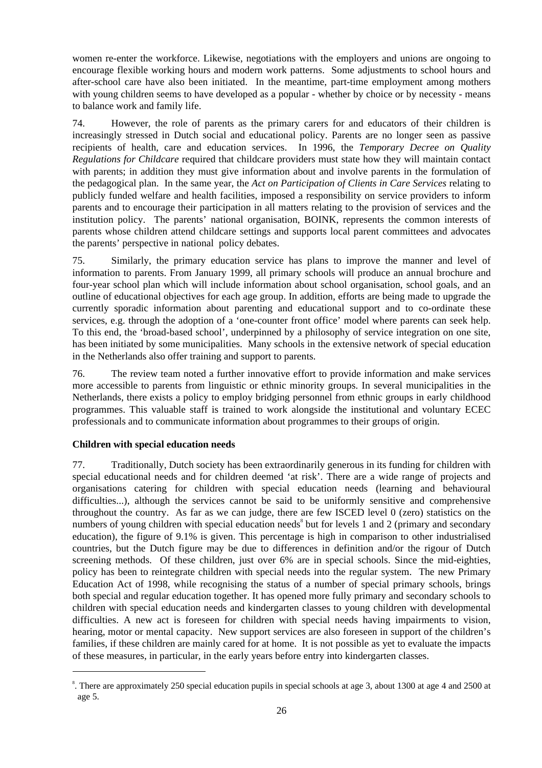women re-enter the workforce. Likewise, negotiations with the employers and unions are ongoing to encourage flexible working hours and modern work patterns. Some adjustments to school hours and after-school care have also been initiated. In the meantime, part-time employment among mothers with young children seems to have developed as a popular - whether by choice or by necessity - means to balance work and family life.

74. However, the role of parents as the primary carers for and educators of their children is increasingly stressed in Dutch social and educational policy. Parents are no longer seen as passive recipients of health, care and education services. In 1996, the *Temporary Decree on Quality Regulations for Childcare* required that childcare providers must state how they will maintain contact with parents; in addition they must give information about and involve parents in the formulation of the pedagogical plan. In the same year, the *Act on Participation of Clients in Care Services* relating to publicly funded welfare and health facilities, imposed a responsibility on service providers to inform parents and to encourage their participation in all matters relating to the provision of services and the institution policy. The parents' national organisation, BOINK, represents the common interests of parents whose children attend childcare settings and supports local parent committees and advocates the parents' perspective in national policy debates.

75. Similarly, the primary education service has plans to improve the manner and level of information to parents. From January 1999, all primary schools will produce an annual brochure and four-year school plan which will include information about school organisation, school goals, and an outline of educational objectives for each age group. In addition, efforts are being made to upgrade the currently sporadic information about parenting and educational support and to co-ordinate these services, e.g. through the adoption of a 'one-counter front office' model where parents can seek help. To this end, the 'broad-based school', underpinned by a philosophy of service integration on one site, has been initiated by some municipalities. Many schools in the extensive network of special education in the Netherlands also offer training and support to parents.

76. The review team noted a further innovative effort to provide information and make services more accessible to parents from linguistic or ethnic minority groups. In several municipalities in the Netherlands, there exists a policy to employ bridging personnel from ethnic groups in early childhood programmes. This valuable staff is trained to work alongside the institutional and voluntary ECEC professionals and to communicate information about programmes to their groups of origin.

# **Children with special education needs**

77. Traditionally, Dutch society has been extraordinarily generous in its funding for children with special educational needs and for children deemed 'at risk'. There are a wide range of projects and organisations catering for children with special education needs (learning and behavioural difficulties...), although the services cannot be said to be uniformly sensitive and comprehensive throughout the country. As far as we can judge, there are few ISCED level 0 (zero) statistics on the numbers of young children with special education needs<sup>8</sup> but for levels 1 and 2 (primary and secondary education), the figure of 9.1% is given. This percentage is high in comparison to other industrialised countries, but the Dutch figure may be due to differences in definition and/or the rigour of Dutch screening methods. Of these children, just over 6% are in special schools. Since the mid-eighties, policy has been to reintegrate children with special needs into the regular system. The new Primary Education Act of 1998, while recognising the status of a number of special primary schools, brings both special and regular education together. It has opened more fully primary and secondary schools to children with special education needs and kindergarten classes to young children with developmental difficulties. A new act is foreseen for children with special needs having impairments to vision, hearing, motor or mental capacity. New support services are also foreseen in support of the children's families, if these children are mainly cared for at home. It is not possible as yet to evaluate the impacts of these measures, in particular, in the early years before entry into kindergarten classes.

 $\frac{1}{8}$  $\degree$ . There are approximately 250 special education pupils in special schools at age 3, about 1300 at age 4 and 2500 at age 5.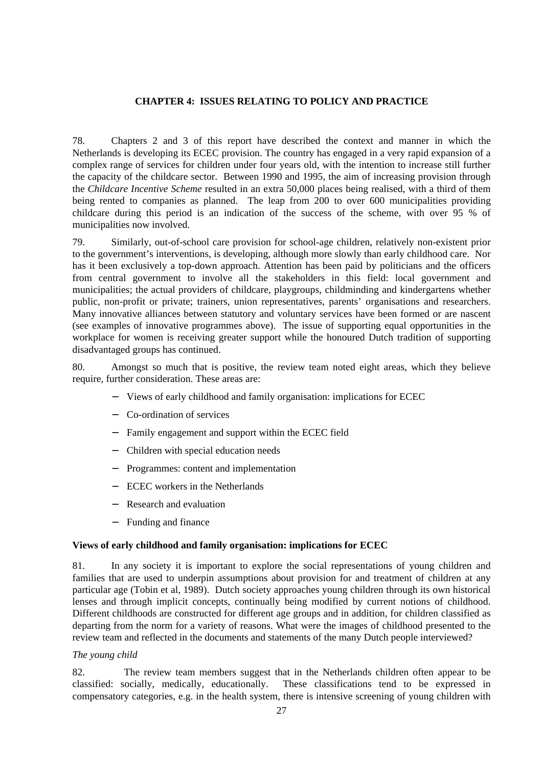# **CHAPTER 4: ISSUES RELATING TO POLICY AND PRACTICE**

78. Chapters 2 and 3 of this report have described the context and manner in which the Netherlands is developing its ECEC provision. The country has engaged in a very rapid expansion of a complex range of services for children under four years old, with the intention to increase still further the capacity of the childcare sector. Between 1990 and 1995, the aim of increasing provision through the *Childcare Incentive Scheme* resulted in an extra 50,000 places being realised, with a third of them being rented to companies as planned. The leap from 200 to over 600 municipalities providing childcare during this period is an indication of the success of the scheme, with over 95 % of municipalities now involved.

79. Similarly, out-of-school care provision for school-age children, relatively non-existent prior to the government's interventions, is developing, although more slowly than early childhood care. Nor has it been exclusively a top-down approach. Attention has been paid by politicians and the officers from central government to involve all the stakeholders in this field: local government and municipalities; the actual providers of childcare, playgroups, childminding and kindergartens whether public, non-profit or private; trainers, union representatives, parents' organisations and researchers. Many innovative alliances between statutory and voluntary services have been formed or are nascent (see examples of innovative programmes above). The issue of supporting equal opportunities in the workplace for women is receiving greater support while the honoured Dutch tradition of supporting disadvantaged groups has continued.

80. Amongst so much that is positive, the review team noted eight areas, which they believe require, further consideration. These areas are:

- − Views of early childhood and family organisation: implications for ECEC
- − Co-ordination of services
- − Family engagement and support within the ECEC field
- − Children with special education needs
- − Programmes: content and implementation
- − ECEC workers in the Netherlands
- − Research and evaluation
- − Funding and finance

### **Views of early childhood and family organisation: implications for ECEC**

81. In any society it is important to explore the social representations of young children and families that are used to underpin assumptions about provision for and treatment of children at any particular age (Tobin et al, 1989). Dutch society approaches young children through its own historical lenses and through implicit concepts, continually being modified by current notions of childhood. Different childhoods are constructed for different age groups and in addition, for children classified as departing from the norm for a variety of reasons. What were the images of childhood presented to the review team and reflected in the documents and statements of the many Dutch people interviewed?

#### *The young child*

82. The review team members suggest that in the Netherlands children often appear to be classified: socially, medically, educationally. These classifications tend to be expressed in compensatory categories, e.g. in the health system, there is intensive screening of young children with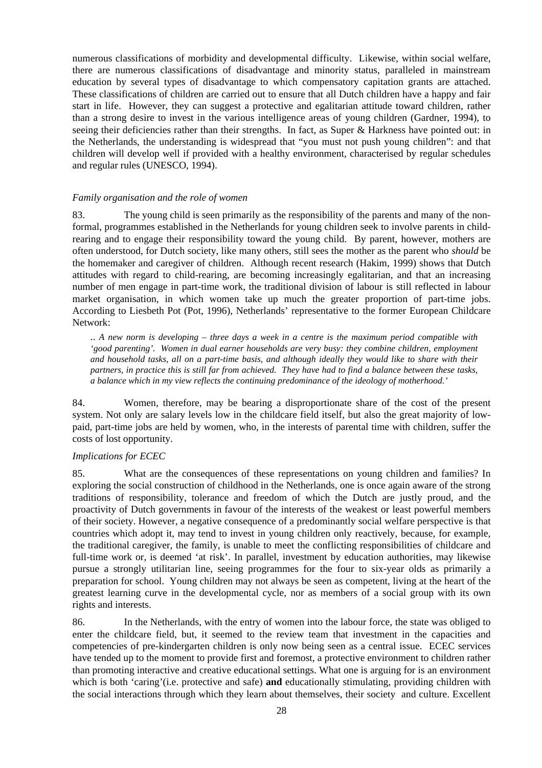numerous classifications of morbidity and developmental difficulty. Likewise, within social welfare, there are numerous classifications of disadvantage and minority status, paralleled in mainstream education by several types of disadvantage to which compensatory capitation grants are attached. These classifications of children are carried out to ensure that all Dutch children have a happy and fair start in life. However, they can suggest a protective and egalitarian attitude toward children, rather than a strong desire to invest in the various intelligence areas of young children (Gardner, 1994), to seeing their deficiencies rather than their strengths. In fact, as Super & Harkness have pointed out: in the Netherlands, the understanding is widespread that "you must not push young children": and that children will develop well if provided with a healthy environment, characterised by regular schedules and regular rules (UNESCO, 1994).

#### *Family organisation and the role of women*

83. The young child is seen primarily as the responsibility of the parents and many of the nonformal, programmes established in the Netherlands for young children seek to involve parents in childrearing and to engage their responsibility toward the young child. By parent, however, mothers are often understood, for Dutch society, like many others, still sees the mother as the parent who *should* be the homemaker and caregiver of children. Although recent research (Hakim, 1999) shows that Dutch attitudes with regard to child-rearing, are becoming increasingly egalitarian, and that an increasing number of men engage in part-time work, the traditional division of labour is still reflected in labour market organisation, in which women take up much the greater proportion of part-time jobs. According to Liesbeth Pot (Pot, 1996), Netherlands' representative to the former European Childcare Network:

.. *A new norm is developing – three days a week in a centre is the maximum period compatible with 'good parenting'. Women in dual earner households are very busy: they combine children, employment and household tasks, all on a part-time basis, and although ideally they would like to share with their partners, in practice this is still far from achieved. They have had to find a balance between these tasks, a balance which in my view reflects the continuing predominance of the ideology of motherhood.'*

84. Women, therefore, may be bearing a disproportionate share of the cost of the present system. Not only are salary levels low in the childcare field itself, but also the great majority of lowpaid, part-time jobs are held by women, who, in the interests of parental time with children, suffer the costs of lost opportunity.

#### *Implications for ECEC*

85. What are the consequences of these representations on young children and families? In exploring the social construction of childhood in the Netherlands, one is once again aware of the strong traditions of responsibility, tolerance and freedom of which the Dutch are justly proud, and the proactivity of Dutch governments in favour of the interests of the weakest or least powerful members of their society. However, a negative consequence of a predominantly social welfare perspective is that countries which adopt it, may tend to invest in young children only reactively, because, for example, the traditional caregiver, the family, is unable to meet the conflicting responsibilities of childcare and full-time work or, is deemed 'at risk'. In parallel, investment by education authorities, may likewise pursue a strongly utilitarian line, seeing programmes for the four to six-year olds as primarily a preparation for school. Young children may not always be seen as competent, living at the heart of the greatest learning curve in the developmental cycle, nor as members of a social group with its own rights and interests.

86. In the Netherlands, with the entry of women into the labour force, the state was obliged to enter the childcare field, but, it seemed to the review team that investment in the capacities and competencies of pre-kindergarten children is only now being seen as a central issue. ECEC services have tended up to the moment to provide first and foremost, a protective environment to children rather than promoting interactive and creative educational settings. What one is arguing for is an environment which is both 'caring'(i.e. protective and safe) **and** educationally stimulating, providing children with the social interactions through which they learn about themselves, their society and culture. Excellent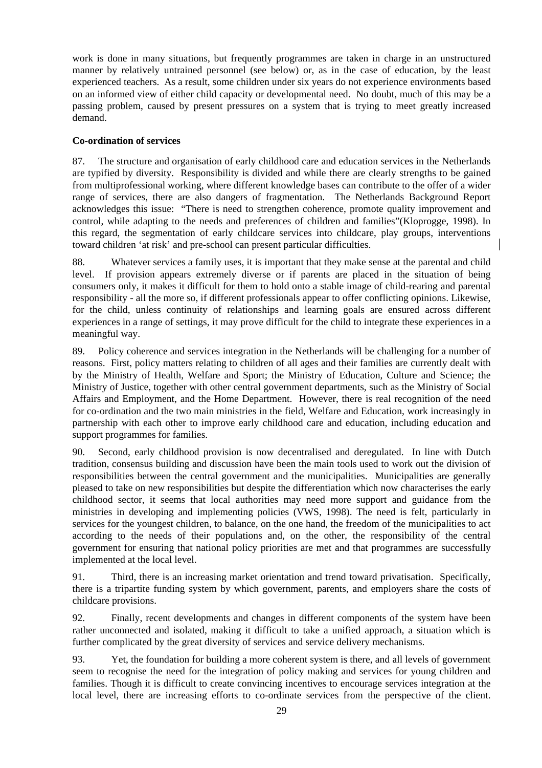work is done in many situations, but frequently programmes are taken in charge in an unstructured manner by relatively untrained personnel (see below) or, as in the case of education, by the least experienced teachers. As a result, some children under six years do not experience environments based on an informed view of either child capacity or developmental need. No doubt, much of this may be a passing problem, caused by present pressures on a system that is trying to meet greatly increased demand.

# **Co-ordination of services**

87. The structure and organisation of early childhood care and education services in the Netherlands are typified by diversity. Responsibility is divided and while there are clearly strengths to be gained from multiprofessional working, where different knowledge bases can contribute to the offer of a wider range of services, there are also dangers of fragmentation. The Netherlands Background Report acknowledges this issue: "There is need to strengthen coherence, promote quality improvement and control, while adapting to the needs and preferences of children and families"(Kloprogge, 1998). In this regard, the segmentation of early childcare services into childcare, play groups, interventions toward children 'at risk' and pre-school can present particular difficulties.

88. Whatever services a family uses, it is important that they make sense at the parental and child level. If provision appears extremely diverse or if parents are placed in the situation of being consumers only, it makes it difficult for them to hold onto a stable image of child-rearing and parental responsibility - all the more so, if different professionals appear to offer conflicting opinions. Likewise, for the child, unless continuity of relationships and learning goals are ensured across different experiences in a range of settings, it may prove difficult for the child to integrate these experiences in a meaningful way.

89. Policy coherence and services integration in the Netherlands will be challenging for a number of reasons. First, policy matters relating to children of all ages and their families are currently dealt with by the Ministry of Health, Welfare and Sport; the Ministry of Education, Culture and Science; the Ministry of Justice, together with other central government departments, such as the Ministry of Social Affairs and Employment, and the Home Department. However, there is real recognition of the need for co-ordination and the two main ministries in the field, Welfare and Education, work increasingly in partnership with each other to improve early childhood care and education, including education and support programmes for families.

90. Second, early childhood provision is now decentralised and deregulated. In line with Dutch tradition, consensus building and discussion have been the main tools used to work out the division of responsibilities between the central government and the municipalities. Municipalities are generally pleased to take on new responsibilities but despite the differentiation which now characterises the early childhood sector, it seems that local authorities may need more support and guidance from the ministries in developing and implementing policies (VWS, 1998). The need is felt, particularly in services for the youngest children, to balance, on the one hand, the freedom of the municipalities to act according to the needs of their populations and, on the other, the responsibility of the central government for ensuring that national policy priorities are met and that programmes are successfully implemented at the local level.

91. Third, there is an increasing market orientation and trend toward privatisation. Specifically, there is a tripartite funding system by which government, parents, and employers share the costs of childcare provisions.

92. Finally, recent developments and changes in different components of the system have been rather unconnected and isolated, making it difficult to take a unified approach, a situation which is further complicated by the great diversity of services and service delivery mechanisms.

93. Yet, the foundation for building a more coherent system is there, and all levels of government seem to recognise the need for the integration of policy making and services for young children and families. Though it is difficult to create convincing incentives to encourage services integration at the local level, there are increasing efforts to co-ordinate services from the perspective of the client.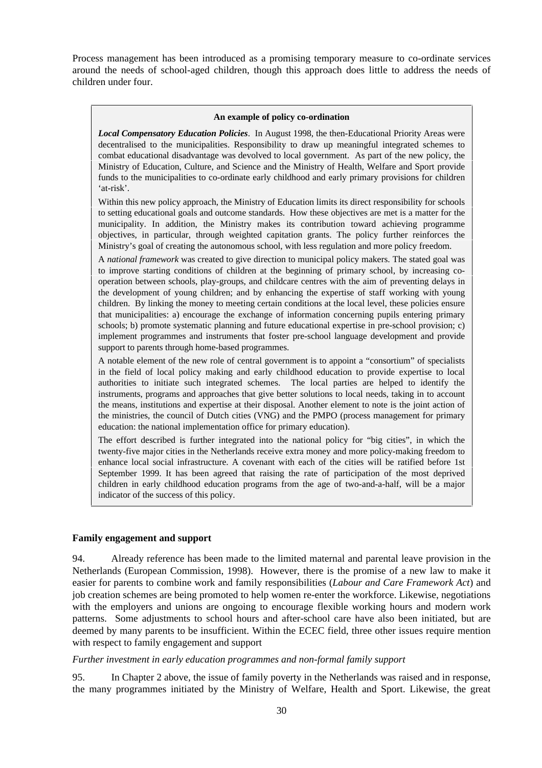Process management has been introduced as a promising temporary measure to co-ordinate services around the needs of school-aged children, though this approach does little to address the needs of children under four.

#### **An example of policy co-ordination**

*Local Compensatory Education Policies*. In August 1998, the then-Educational Priority Areas were decentralised to the municipalities. Responsibility to draw up meaningful integrated schemes to combat educational disadvantage was devolved to local government. As part of the new policy, the Ministry of Education, Culture, and Science and the Ministry of Health, Welfare and Sport provide funds to the municipalities to co-ordinate early childhood and early primary provisions for children 'at-risk'.

Within this new policy approach, the Ministry of Education limits its direct responsibility for schools to setting educational goals and outcome standards. How these objectives are met is a matter for the municipality. In addition, the Ministry makes its contribution toward achieving programme objectives, in particular, through weighted capitation grants. The policy further reinforces the Ministry's goal of creating the autonomous school, with less regulation and more policy freedom.

A *national framework* was created to give direction to municipal policy makers. The stated goal was to improve starting conditions of children at the beginning of primary school, by increasing cooperation between schools, play-groups, and childcare centres with the aim of preventing delays in the development of young children; and by enhancing the expertise of staff working with young children. By linking the money to meeting certain conditions at the local level, these policies ensure that municipalities: a) encourage the exchange of information concerning pupils entering primary schools; b) promote systematic planning and future educational expertise in pre-school provision; c) implement programmes and instruments that foster pre-school language development and provide support to parents through home-based programmes.

A notable element of the new role of central government is to appoint a "consortium" of specialists in the field of local policy making and early childhood education to provide expertise to local authorities to initiate such integrated schemes. The local parties are helped to identify the instruments, programs and approaches that give better solutions to local needs, taking in to account the means, institutions and expertise at their disposal. Another element to note is the joint action of the ministries, the council of Dutch cities (VNG) and the PMPO (process management for primary education: the national implementation office for primary education).

The effort described is further integrated into the national policy for "big cities", in which the twenty-five major cities in the Netherlands receive extra money and more policy-making freedom to enhance local social infrastructure. A covenant with each of the cities will be ratified before 1st September 1999. It has been agreed that raising the rate of participation of the most deprived children in early childhood education programs from the age of two-and-a-half, will be a major indicator of the success of this policy.

# **Family engagement and support**

94. Already reference has been made to the limited maternal and parental leave provision in the Netherlands (European Commission, 1998). However, there is the promise of a new law to make it easier for parents to combine work and family responsibilities (*Labour and Care Framework Act*) and job creation schemes are being promoted to help women re-enter the workforce. Likewise, negotiations with the employers and unions are ongoing to encourage flexible working hours and modern work patterns. Some adjustments to school hours and after-school care have also been initiated, but are deemed by many parents to be insufficient. Within the ECEC field, three other issues require mention with respect to family engagement and support

### *Further investment in early education programmes and non-formal family support*

95. In Chapter 2 above, the issue of family poverty in the Netherlands was raised and in response, the many programmes initiated by the Ministry of Welfare, Health and Sport. Likewise, the great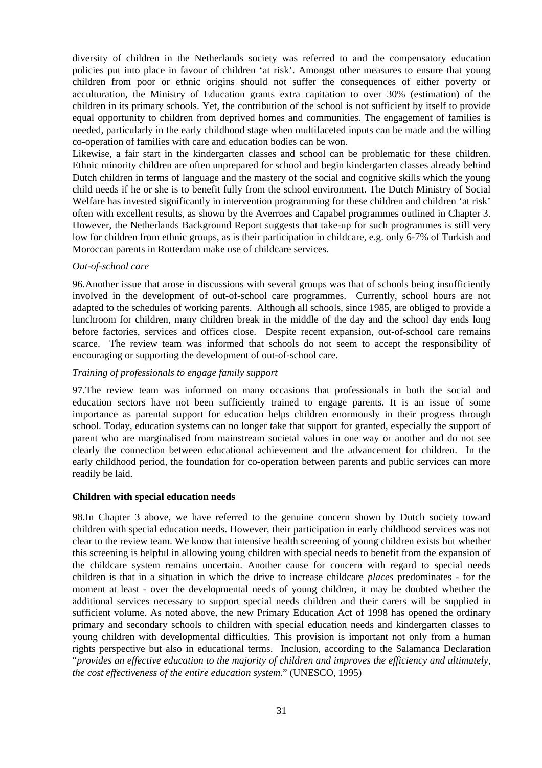diversity of children in the Netherlands society was referred to and the compensatory education policies put into place in favour of children 'at risk'. Amongst other measures to ensure that young children from poor or ethnic origins should not suffer the consequences of either poverty or acculturation, the Ministry of Education grants extra capitation to over 30% (estimation) of the children in its primary schools. Yet, the contribution of the school is not sufficient by itself to provide equal opportunity to children from deprived homes and communities. The engagement of families is needed, particularly in the early childhood stage when multifaceted inputs can be made and the willing co-operation of families with care and education bodies can be won.

Likewise, a fair start in the kindergarten classes and school can be problematic for these children. Ethnic minority children are often unprepared for school and begin kindergarten classes already behind Dutch children in terms of language and the mastery of the social and cognitive skills which the young child needs if he or she is to benefit fully from the school environment. The Dutch Ministry of Social Welfare has invested significantly in intervention programming for these children and children 'at risk' often with excellent results, as shown by the Averroes and Capabel programmes outlined in Chapter 3. However, the Netherlands Background Report suggests that take-up for such programmes is still very low for children from ethnic groups, as is their participation in childcare, e.g. only 6-7% of Turkish and Moroccan parents in Rotterdam make use of childcare services.

### *Out-of-school care*

96.Another issue that arose in discussions with several groups was that of schools being insufficiently involved in the development of out-of-school care programmes. Currently, school hours are not adapted to the schedules of working parents. Although all schools, since 1985, are obliged to provide a lunchroom for children, many children break in the middle of the day and the school day ends long before factories, services and offices close. Despite recent expansion, out-of-school care remains scarce. The review team was informed that schools do not seem to accept the responsibility of encouraging or supporting the development of out-of-school care.

### *Training of professionals to engage family support*

97.The review team was informed on many occasions that professionals in both the social and education sectors have not been sufficiently trained to engage parents. It is an issue of some importance as parental support for education helps children enormously in their progress through school. Today, education systems can no longer take that support for granted, especially the support of parent who are marginalised from mainstream societal values in one way or another and do not see clearly the connection between educational achievement and the advancement for children. In the early childhood period, the foundation for co-operation between parents and public services can more readily be laid.

#### **Children with special education needs**

98.In Chapter 3 above, we have referred to the genuine concern shown by Dutch society toward children with special education needs. However, their participation in early childhood services was not clear to the review team. We know that intensive health screening of young children exists but whether this screening is helpful in allowing young children with special needs to benefit from the expansion of the childcare system remains uncertain. Another cause for concern with regard to special needs children is that in a situation in which the drive to increase childcare *places* predominates - for the moment at least - over the developmental needs of young children, it may be doubted whether the additional services necessary to support special needs children and their carers will be supplied in sufficient volume. As noted above, the new Primary Education Act of 1998 has opened the ordinary primary and secondary schools to children with special education needs and kindergarten classes to young children with developmental difficulties. This provision is important not only from a human rights perspective but also in educational terms. Inclusion, according to the Salamanca Declaration "*provides an effective education to the majority of children and improves the efficiency and ultimately, the cost effectiveness of the entire education system*." (UNESCO, 1995)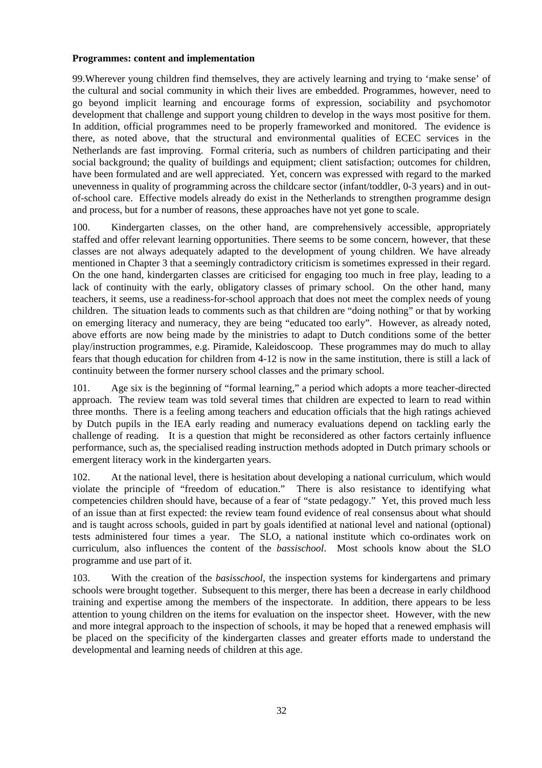# **Programmes: content and implementation**

99.Wherever young children find themselves, they are actively learning and trying to 'make sense' of the cultural and social community in which their lives are embedded. Programmes, however, need to go beyond implicit learning and encourage forms of expression, sociability and psychomotor development that challenge and support young children to develop in the ways most positive for them. In addition, official programmes need to be properly frameworked and monitored. The evidence is there, as noted above, that the structural and environmental qualities of ECEC services in the Netherlands are fast improving. Formal criteria, such as numbers of children participating and their social background; the quality of buildings and equipment; client satisfaction; outcomes for children, have been formulated and are well appreciated. Yet, concern was expressed with regard to the marked unevenness in quality of programming across the childcare sector (infant/toddler, 0-3 years) and in outof-school care. Effective models already do exist in the Netherlands to strengthen programme design and process, but for a number of reasons, these approaches have not yet gone to scale.

100. Kindergarten classes, on the other hand, are comprehensively accessible, appropriately staffed and offer relevant learning opportunities. There seems to be some concern, however, that these classes are not always adequately adapted to the development of young children. We have already mentioned in Chapter 3 that a seemingly contradictory criticism is sometimes expressed in their regard. On the one hand, kindergarten classes are criticised for engaging too much in free play, leading to a lack of continuity with the early, obligatory classes of primary school. On the other hand, many teachers, it seems, use a readiness-for-school approach that does not meet the complex needs of young children. The situation leads to comments such as that children are "doing nothing" or that by working on emerging literacy and numeracy, they are being "educated too early". However, as already noted, above efforts are now being made by the ministries to adapt to Dutch conditions some of the better play/instruction programmes, e.g. Piramide, Kaleidoscoop. These programmes may do much to allay fears that though education for children from 4-12 is now in the same institution, there is still a lack of continuity between the former nursery school classes and the primary school.

101. Age six is the beginning of "formal learning," a period which adopts a more teacher-directed approach. The review team was told several times that children are expected to learn to read within three months. There is a feeling among teachers and education officials that the high ratings achieved by Dutch pupils in the IEA early reading and numeracy evaluations depend on tackling early the challenge of reading. It is a question that might be reconsidered as other factors certainly influence performance, such as, the specialised reading instruction methods adopted in Dutch primary schools or emergent literacy work in the kindergarten years.

102. At the national level, there is hesitation about developing a national curriculum, which would violate the principle of "freedom of education." There is also resistance to identifying what competencies children should have, because of a fear of "state pedagogy." Yet, this proved much less of an issue than at first expected: the review team found evidence of real consensus about what should and is taught across schools, guided in part by goals identified at national level and national (optional) tests administered four times a year. The SLO, a national institute which co-ordinates work on curriculum, also influences the content of the *bassischool*. Most schools know about the SLO programme and use part of it.

103. With the creation of the *basisschool*, the inspection systems for kindergartens and primary schools were brought together. Subsequent to this merger, there has been a decrease in early childhood training and expertise among the members of the inspectorate. In addition, there appears to be less attention to young children on the items for evaluation on the inspector sheet. However, with the new and more integral approach to the inspection of schools, it may be hoped that a renewed emphasis will be placed on the specificity of the kindergarten classes and greater efforts made to understand the developmental and learning needs of children at this age.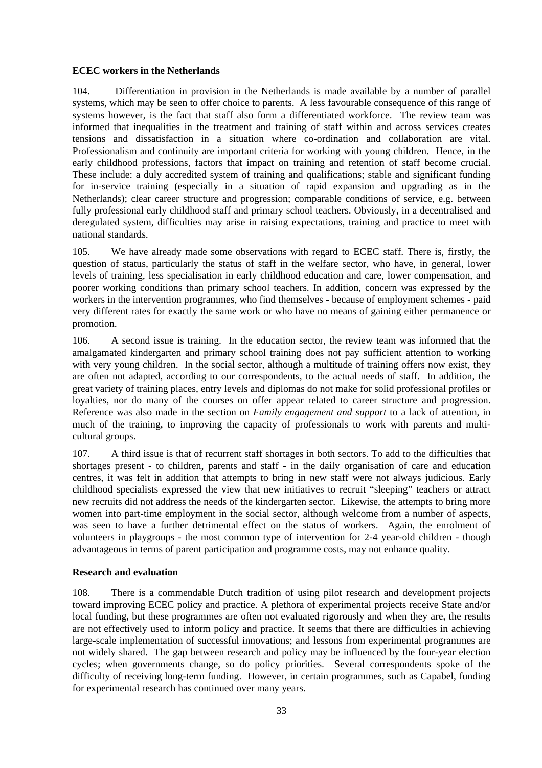### **ECEC workers in the Netherlands**

104. Differentiation in provision in the Netherlands is made available by a number of parallel systems, which may be seen to offer choice to parents. A less favourable consequence of this range of systems however, is the fact that staff also form a differentiated workforce. The review team was informed that inequalities in the treatment and training of staff within and across services creates tensions and dissatisfaction in a situation where co-ordination and collaboration are vital. Professionalism and continuity are important criteria for working with young children. Hence, in the early childhood professions, factors that impact on training and retention of staff become crucial. These include: a duly accredited system of training and qualifications; stable and significant funding for in-service training (especially in a situation of rapid expansion and upgrading as in the Netherlands); clear career structure and progression; comparable conditions of service, e.g. between fully professional early childhood staff and primary school teachers. Obviously, in a decentralised and deregulated system, difficulties may arise in raising expectations, training and practice to meet with national standards.

105. We have already made some observations with regard to ECEC staff. There is, firstly, the question of status, particularly the status of staff in the welfare sector, who have, in general, lower levels of training, less specialisation in early childhood education and care, lower compensation, and poorer working conditions than primary school teachers. In addition, concern was expressed by the workers in the intervention programmes, who find themselves - because of employment schemes - paid very different rates for exactly the same work or who have no means of gaining either permanence or promotion.

106. A second issue is training. In the education sector, the review team was informed that the amalgamated kindergarten and primary school training does not pay sufficient attention to working with very young children. In the social sector, although a multitude of training offers now exist, they are often not adapted, according to our correspondents, to the actual needs of staff. In addition, the great variety of training places, entry levels and diplomas do not make for solid professional profiles or loyalties, nor do many of the courses on offer appear related to career structure and progression. Reference was also made in the section on *Family engagement and support* to a lack of attention, in much of the training, to improving the capacity of professionals to work with parents and multicultural groups.

107. A third issue is that of recurrent staff shortages in both sectors. To add to the difficulties that shortages present - to children, parents and staff - in the daily organisation of care and education centres, it was felt in addition that attempts to bring in new staff were not always judicious. Early childhood specialists expressed the view that new initiatives to recruit "sleeping" teachers or attract new recruits did not address the needs of the kindergarten sector. Likewise, the attempts to bring more women into part-time employment in the social sector, although welcome from a number of aspects, was seen to have a further detrimental effect on the status of workers. Again, the enrolment of volunteers in playgroups - the most common type of intervention for 2-4 year-old children - though advantageous in terms of parent participation and programme costs, may not enhance quality.

#### **Research and evaluation**

108. There is a commendable Dutch tradition of using pilot research and development projects toward improving ECEC policy and practice. A plethora of experimental projects receive State and/or local funding, but these programmes are often not evaluated rigorously and when they are, the results are not effectively used to inform policy and practice. It seems that there are difficulties in achieving large-scale implementation of successful innovations; and lessons from experimental programmes are not widely shared. The gap between research and policy may be influenced by the four-year election cycles; when governments change, so do policy priorities. Several correspondents spoke of the difficulty of receiving long-term funding. However, in certain programmes, such as Capabel, funding for experimental research has continued over many years.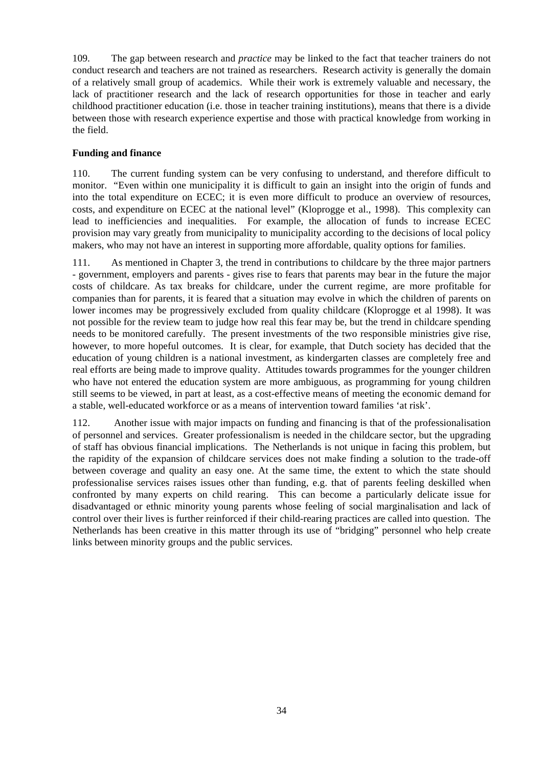109. The gap between research and *practice* may be linked to the fact that teacher trainers do not conduct research and teachers are not trained as researchers. Research activity is generally the domain of a relatively small group of academics. While their work is extremely valuable and necessary, the lack of practitioner research and the lack of research opportunities for those in teacher and early childhood practitioner education (i.e. those in teacher training institutions), means that there is a divide between those with research experience expertise and those with practical knowledge from working in the field.

# **Funding and finance**

110. The current funding system can be very confusing to understand, and therefore difficult to monitor. "Even within one municipality it is difficult to gain an insight into the origin of funds and into the total expenditure on ECEC; it is even more difficult to produce an overview of resources, costs, and expenditure on ECEC at the national level" (Kloprogge et al., 1998). This complexity can lead to inefficiencies and inequalities. For example, the allocation of funds to increase ECEC provision may vary greatly from municipality to municipality according to the decisions of local policy makers, who may not have an interest in supporting more affordable, quality options for families.

111. As mentioned in Chapter 3, the trend in contributions to childcare by the three major partners - government, employers and parents - gives rise to fears that parents may bear in the future the major costs of childcare. As tax breaks for childcare, under the current regime, are more profitable for companies than for parents, it is feared that a situation may evolve in which the children of parents on lower incomes may be progressively excluded from quality childcare (Kloprogge et al 1998). It was not possible for the review team to judge how real this fear may be, but the trend in childcare spending needs to be monitored carefully. The present investments of the two responsible ministries give rise, however, to more hopeful outcomes. It is clear, for example, that Dutch society has decided that the education of young children is a national investment, as kindergarten classes are completely free and real efforts are being made to improve quality. Attitudes towards programmes for the younger children who have not entered the education system are more ambiguous, as programming for young children still seems to be viewed, in part at least, as a cost-effective means of meeting the economic demand for a stable, well-educated workforce or as a means of intervention toward families 'at risk'.

112. Another issue with major impacts on funding and financing is that of the professionalisation of personnel and services. Greater professionalism is needed in the childcare sector, but the upgrading of staff has obvious financial implications. The Netherlands is not unique in facing this problem, but the rapidity of the expansion of childcare services does not make finding a solution to the trade-off between coverage and quality an easy one. At the same time, the extent to which the state should professionalise services raises issues other than funding, e.g. that of parents feeling deskilled when confronted by many experts on child rearing. This can become a particularly delicate issue for disadvantaged or ethnic minority young parents whose feeling of social marginalisation and lack of control over their lives is further reinforced if their child-rearing practices are called into question. The Netherlands has been creative in this matter through its use of "bridging" personnel who help create links between minority groups and the public services.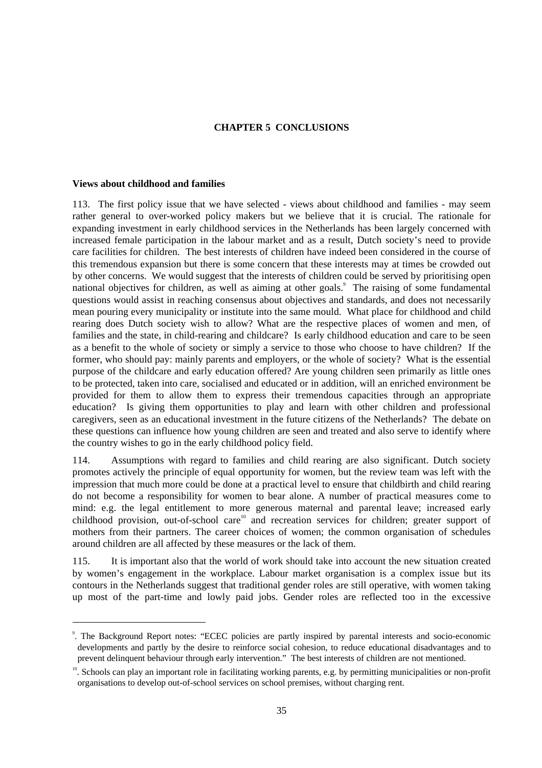### **CHAPTER 5 CONCLUSIONS**

#### **Views about childhood and families**

113. The first policy issue that we have selected - views about childhood and families - may seem rather general to over-worked policy makers but we believe that it is crucial. The rationale for expanding investment in early childhood services in the Netherlands has been largely concerned with increased female participation in the labour market and as a result, Dutch society's need to provide care facilities for children. The best interests of children have indeed been considered in the course of this tremendous expansion but there is some concern that these interests may at times be crowded out by other concerns. We would suggest that the interests of children could be served by prioritising open national objectives for children, as well as aiming at other goals.<sup>9</sup> The raising of some fundamental questions would assist in reaching consensus about objectives and standards, and does not necessarily mean pouring every municipality or institute into the same mould. What place for childhood and child rearing does Dutch society wish to allow? What are the respective places of women and men, of families and the state, in child-rearing and childcare? Is early childhood education and care to be seen as a benefit to the whole of society or simply a service to those who choose to have children? If the former, who should pay: mainly parents and employers, or the whole of society? What is the essential purpose of the childcare and early education offered? Are young children seen primarily as little ones to be protected, taken into care, socialised and educated or in addition, will an enriched environment be provided for them to allow them to express their tremendous capacities through an appropriate education? Is giving them opportunities to play and learn with other children and professional caregivers, seen as an educational investment in the future citizens of the Netherlands? The debate on these questions can influence how young children are seen and treated and also serve to identify where the country wishes to go in the early childhood policy field.

114. Assumptions with regard to families and child rearing are also significant. Dutch society promotes actively the principle of equal opportunity for women, but the review team was left with the impression that much more could be done at a practical level to ensure that childbirth and child rearing do not become a responsibility for women to bear alone. A number of practical measures come to mind: e.g. the legal entitlement to more generous maternal and parental leave; increased early  $\overrightarrow{c}$  childhood provision, out-of-school care<sup>10</sup> and recreation services for children; greater support of mothers from their partners. The career choices of women; the common organisation of schedules around children are all affected by these measures or the lack of them.

115. It is important also that the world of work should take into account the new situation created by women's engagement in the workplace. Labour market organisation is a complex issue but its contours in the Netherlands suggest that traditional gender roles are still operative, with women taking up most of the part-time and lowly paid jobs. Gender roles are reflected too in the excessive

 <sup>9</sup> . The Background Report notes: "ECEC policies are partly inspired by parental interests and socio-economic developments and partly by the desire to reinforce social cohesion, to reduce educational disadvantages and to prevent delinquent behaviour through early intervention." The best interests of children are not mentioned.

<sup>&</sup>lt;sup>10</sup>. Schools can play an important role in facilitating working parents, e.g. by permitting municipalities or non-profit organisations to develop out-of-school services on school premises, without charging rent.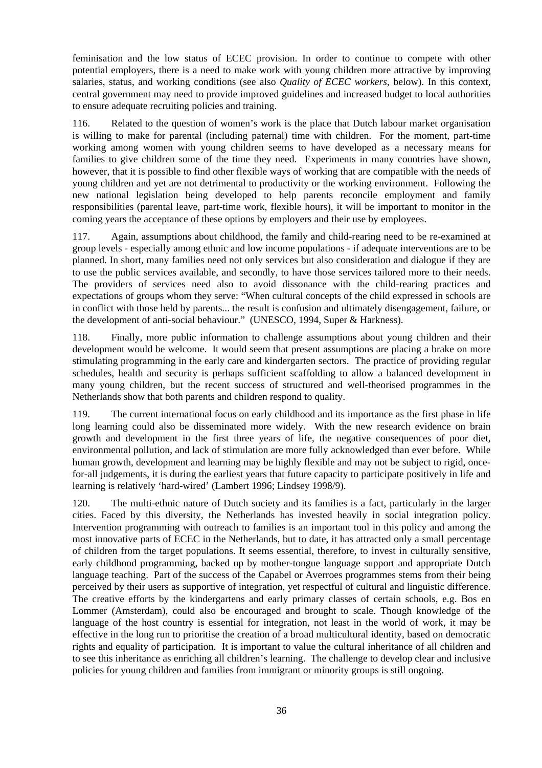feminisation and the low status of ECEC provision. In order to continue to compete with other potential employers, there is a need to make work with young children more attractive by improving salaries, status, and working conditions (see also *Quality of ECEC workers*, below). In this context, central government may need to provide improved guidelines and increased budget to local authorities to ensure adequate recruiting policies and training.

116. Related to the question of women's work is the place that Dutch labour market organisation is willing to make for parental (including paternal) time with children. For the moment, part-time working among women with young children seems to have developed as a necessary means for families to give children some of the time they need. Experiments in many countries have shown, however, that it is possible to find other flexible ways of working that are compatible with the needs of young children and yet are not detrimental to productivity or the working environment. Following the new national legislation being developed to help parents reconcile employment and family responsibilities (parental leave, part-time work, flexible hours), it will be important to monitor in the coming years the acceptance of these options by employers and their use by employees.

117. Again, assumptions about childhood, the family and child-rearing need to be re-examined at group levels - especially among ethnic and low income populations - if adequate interventions are to be planned. In short, many families need not only services but also consideration and dialogue if they are to use the public services available, and secondly, to have those services tailored more to their needs. The providers of services need also to avoid dissonance with the child-rearing practices and expectations of groups whom they serve: "When cultural concepts of the child expressed in schools are in conflict with those held by parents... the result is confusion and ultimately disengagement, failure, or the development of anti-social behaviour." (UNESCO, 1994, Super & Harkness).

118. Finally, more public information to challenge assumptions about young children and their development would be welcome. It would seem that present assumptions are placing a brake on more stimulating programming in the early care and kindergarten sectors. The practice of providing regular schedules, health and security is perhaps sufficient scaffolding to allow a balanced development in many young children, but the recent success of structured and well-theorised programmes in the Netherlands show that both parents and children respond to quality.

119. The current international focus on early childhood and its importance as the first phase in life long learning could also be disseminated more widely. With the new research evidence on brain growth and development in the first three years of life, the negative consequences of poor diet, environmental pollution, and lack of stimulation are more fully acknowledged than ever before. While human growth, development and learning may be highly flexible and may not be subject to rigid, oncefor-all judgements, it is during the earliest years that future capacity to participate positively in life and learning is relatively 'hard-wired' (Lambert 1996; Lindsey 1998/9).

120. The multi-ethnic nature of Dutch society and its families is a fact, particularly in the larger cities. Faced by this diversity, the Netherlands has invested heavily in social integration policy. Intervention programming with outreach to families is an important tool in this policy and among the most innovative parts of ECEC in the Netherlands, but to date, it has attracted only a small percentage of children from the target populations. It seems essential, therefore, to invest in culturally sensitive, early childhood programming, backed up by mother-tongue language support and appropriate Dutch language teaching. Part of the success of the Capabel or Averroes programmes stems from their being perceived by their users as supportive of integration, yet respectful of cultural and linguistic difference. The creative efforts by the kindergartens and early primary classes of certain schools, e.g. Bos en Lommer (Amsterdam), could also be encouraged and brought to scale. Though knowledge of the language of the host country is essential for integration, not least in the world of work, it may be effective in the long run to prioritise the creation of a broad multicultural identity, based on democratic rights and equality of participation. It is important to value the cultural inheritance of all children and to see this inheritance as enriching all children's learning. The challenge to develop clear and inclusive policies for young children and families from immigrant or minority groups is still ongoing.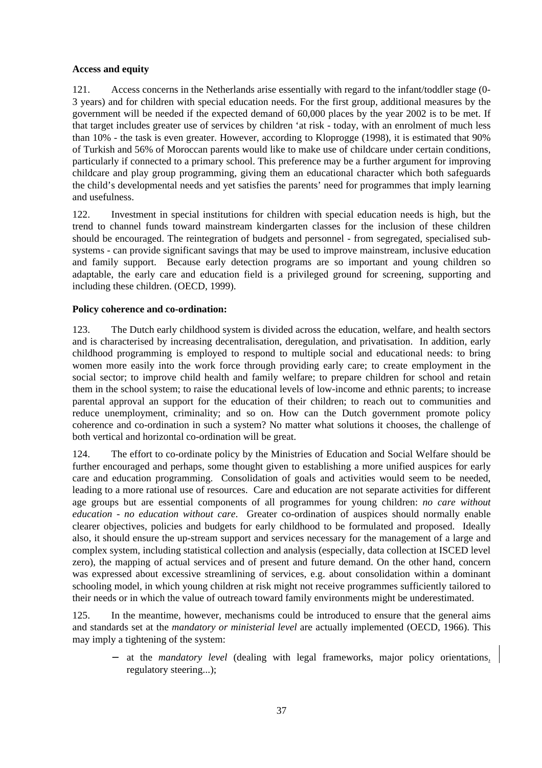# **Access and equity**

121. Access concerns in the Netherlands arise essentially with regard to the infant/toddler stage (0- 3 years) and for children with special education needs. For the first group, additional measures by the government will be needed if the expected demand of 60,000 places by the year 2002 is to be met. If that target includes greater use of services by children 'at risk - today, with an enrolment of much less than 10% - the task is even greater. However, according to Kloprogge (1998), it is estimated that 90% of Turkish and 56% of Moroccan parents would like to make use of childcare under certain conditions, particularly if connected to a primary school. This preference may be a further argument for improving childcare and play group programming, giving them an educational character which both safeguards the child's developmental needs and yet satisfies the parents' need for programmes that imply learning and usefulness.

122. Investment in special institutions for children with special education needs is high, but the trend to channel funds toward mainstream kindergarten classes for the inclusion of these children should be encouraged. The reintegration of budgets and personnel - from segregated, specialised subsystems - can provide significant savings that may be used to improve mainstream, inclusive education and family support. Because early detection programs are so important and young children so adaptable, the early care and education field is a privileged ground for screening, supporting and including these children. (OECD, 1999).

# **Policy coherence and co-ordination:**

123. The Dutch early childhood system is divided across the education, welfare, and health sectors and is characterised by increasing decentralisation, deregulation, and privatisation. In addition, early childhood programming is employed to respond to multiple social and educational needs: to bring women more easily into the work force through providing early care; to create employment in the social sector; to improve child health and family welfare; to prepare children for school and retain them in the school system; to raise the educational levels of low-income and ethnic parents; to increase parental approval an support for the education of their children; to reach out to communities and reduce unemployment, criminality; and so on. How can the Dutch government promote policy coherence and co-ordination in such a system? No matter what solutions it chooses, the challenge of both vertical and horizontal co-ordination will be great.

124. The effort to co-ordinate policy by the Ministries of Education and Social Welfare should be further encouraged and perhaps, some thought given to establishing a more unified auspices for early care and education programming. Consolidation of goals and activities would seem to be needed, leading to a more rational use of resources. Care and education are not separate activities for different age groups but are essential components of all programmes for young children: *no care without education - no education without care*. Greater co-ordination of auspices should normally enable clearer objectives, policies and budgets for early childhood to be formulated and proposed. Ideally also, it should ensure the up-stream support and services necessary for the management of a large and complex system, including statistical collection and analysis (especially, data collection at ISCED level zero), the mapping of actual services and of present and future demand. On the other hand, concern was expressed about excessive streamlining of services, e.g. about consolidation within a dominant schooling model, in which young children at risk might not receive programmes sufficiently tailored to their needs or in which the value of outreach toward family environments might be underestimated.

125. In the meantime, however, mechanisms could be introduced to ensure that the general aims and standards set at the *mandatory or ministerial level* are actually implemented (OECD, 1966). This may imply a tightening of the system:

− at the *mandatory level* (dealing with legal frameworks, major policy orientations, regulatory steering...);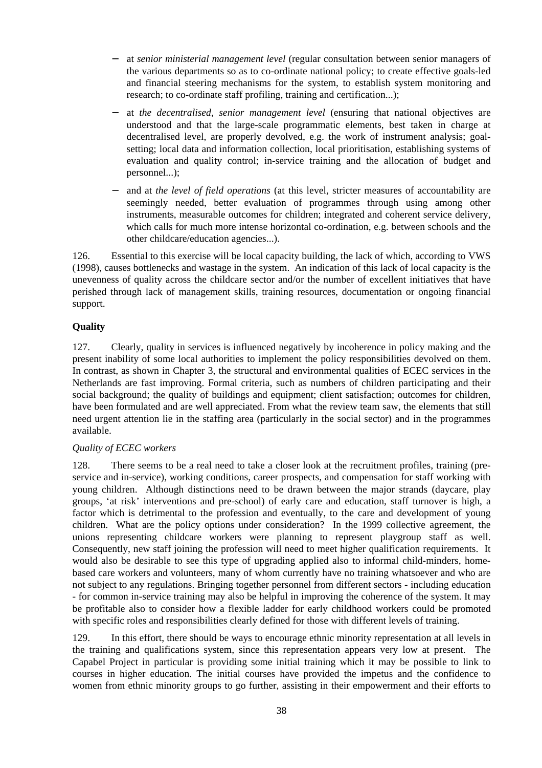- − at *senior ministerial management level* (regular consultation between senior managers of the various departments so as to co-ordinate national policy; to create effective goals-led and financial steering mechanisms for the system, to establish system monitoring and research; to co-ordinate staff profiling, training and certification...);
- at *the decentralised, senior management level* (ensuring that national objectives are understood and that the large-scale programmatic elements, best taken in charge at decentralised level, are properly devolved, e.g. the work of instrument analysis; goalsetting; local data and information collection, local prioritisation, establishing systems of evaluation and quality control; in-service training and the allocation of budget and personnel...);
- and at the level of field operations (at this level, stricter measures of accountability are seemingly needed, better evaluation of programmes through using among other instruments, measurable outcomes for children; integrated and coherent service delivery, which calls for much more intense horizontal co-ordination, e.g. between schools and the other childcare/education agencies...).

126. Essential to this exercise will be local capacity building, the lack of which, according to VWS (1998), causes bottlenecks and wastage in the system. An indication of this lack of local capacity is the unevenness of quality across the childcare sector and/or the number of excellent initiatives that have perished through lack of management skills, training resources, documentation or ongoing financial support.

# **Quality**

127. Clearly, quality in services is influenced negatively by incoherence in policy making and the present inability of some local authorities to implement the policy responsibilities devolved on them. In contrast, as shown in Chapter 3, the structural and environmental qualities of ECEC services in the Netherlands are fast improving. Formal criteria, such as numbers of children participating and their social background; the quality of buildings and equipment; client satisfaction; outcomes for children, have been formulated and are well appreciated. From what the review team saw, the elements that still need urgent attention lie in the staffing area (particularly in the social sector) and in the programmes available.

# *Quality of ECEC workers*

128. There seems to be a real need to take a closer look at the recruitment profiles, training (preservice and in-service), working conditions, career prospects, and compensation for staff working with young children. Although distinctions need to be drawn between the major strands (daycare, play groups, 'at risk' interventions and pre-school) of early care and education, staff turnover is high, a factor which is detrimental to the profession and eventually, to the care and development of young children. What are the policy options under consideration? In the 1999 collective agreement, the unions representing childcare workers were planning to represent playgroup staff as well. Consequently, new staff joining the profession will need to meet higher qualification requirements. It would also be desirable to see this type of upgrading applied also to informal child-minders, homebased care workers and volunteers, many of whom currently have no training whatsoever and who are not subject to any regulations. Bringing together personnel from different sectors - including education - for common in-service training may also be helpful in improving the coherence of the system. It may be profitable also to consider how a flexible ladder for early childhood workers could be promoted with specific roles and responsibilities clearly defined for those with different levels of training.

129. In this effort, there should be ways to encourage ethnic minority representation at all levels in the training and qualifications system, since this representation appears very low at present. The Capabel Project in particular is providing some initial training which it may be possible to link to courses in higher education. The initial courses have provided the impetus and the confidence to women from ethnic minority groups to go further, assisting in their empowerment and their efforts to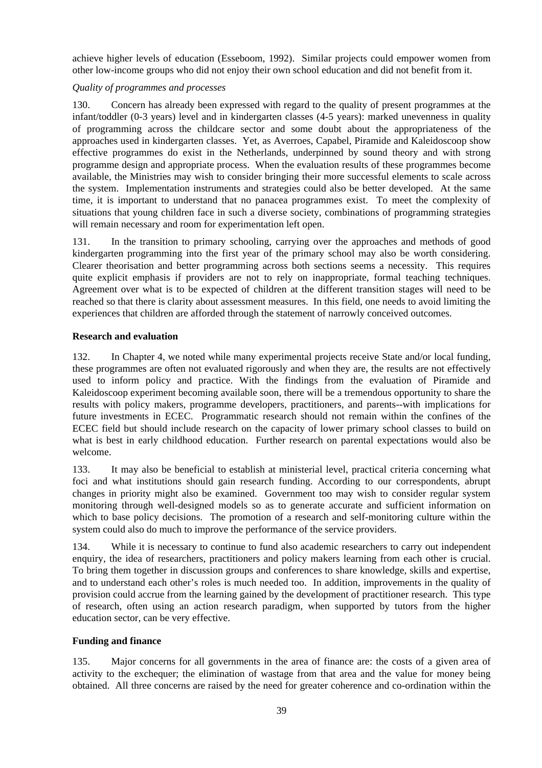achieve higher levels of education (Esseboom, 1992). Similar projects could empower women from other low-income groups who did not enjoy their own school education and did not benefit from it.

# *Quality of programmes and processes*

130. Concern has already been expressed with regard to the quality of present programmes at the infant/toddler (0-3 years) level and in kindergarten classes (4-5 years): marked unevenness in quality of programming across the childcare sector and some doubt about the appropriateness of the approaches used in kindergarten classes. Yet, as Averroes, Capabel, Piramide and Kaleidoscoop show effective programmes do exist in the Netherlands, underpinned by sound theory and with strong programme design and appropriate process. When the evaluation results of these programmes become available, the Ministries may wish to consider bringing their more successful elements to scale across the system. Implementation instruments and strategies could also be better developed. At the same time, it is important to understand that no panacea programmes exist. To meet the complexity of situations that young children face in such a diverse society, combinations of programming strategies will remain necessary and room for experimentation left open.

131. In the transition to primary schooling, carrying over the approaches and methods of good kindergarten programming into the first year of the primary school may also be worth considering. Clearer theorisation and better programming across both sections seems a necessity. This requires quite explicit emphasis if providers are not to rely on inappropriate, formal teaching techniques. Agreement over what is to be expected of children at the different transition stages will need to be reached so that there is clarity about assessment measures. In this field, one needs to avoid limiting the experiences that children are afforded through the statement of narrowly conceived outcomes.

# **Research and evaluation**

132. In Chapter 4, we noted while many experimental projects receive State and/or local funding, these programmes are often not evaluated rigorously and when they are, the results are not effectively used to inform policy and practice. With the findings from the evaluation of Piramide and Kaleidoscoop experiment becoming available soon, there will be a tremendous opportunity to share the results with policy makers, programme developers, practitioners, and parents--with implications for future investments in ECEC. Programmatic research should not remain within the confines of the ECEC field but should include research on the capacity of lower primary school classes to build on what is best in early childhood education. Further research on parental expectations would also be welcome.

133. It may also be beneficial to establish at ministerial level, practical criteria concerning what foci and what institutions should gain research funding. According to our correspondents, abrupt changes in priority might also be examined. Government too may wish to consider regular system monitoring through well-designed models so as to generate accurate and sufficient information on which to base policy decisions. The promotion of a research and self-monitoring culture within the system could also do much to improve the performance of the service providers.

134. While it is necessary to continue to fund also academic researchers to carry out independent enquiry, the idea of researchers, practitioners and policy makers learning from each other is crucial. To bring them together in discussion groups and conferences to share knowledge, skills and expertise, and to understand each other's roles is much needed too. In addition, improvements in the quality of provision could accrue from the learning gained by the development of practitioner research. This type of research, often using an action research paradigm, when supported by tutors from the higher education sector, can be very effective.

# **Funding and finance**

135. Major concerns for all governments in the area of finance are: the costs of a given area of activity to the exchequer; the elimination of wastage from that area and the value for money being obtained. All three concerns are raised by the need for greater coherence and co-ordination within the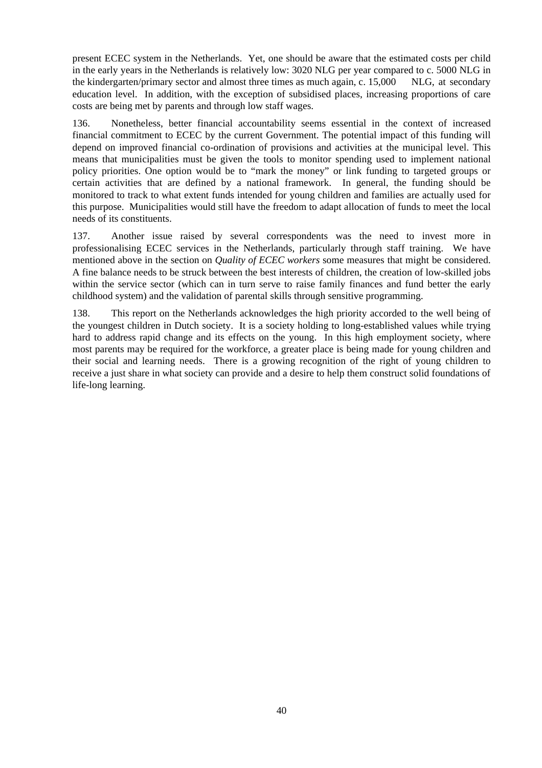present ECEC system in the Netherlands. Yet, one should be aware that the estimated costs per child in the early years in the Netherlands is relatively low: 3020 NLG per year compared to c. 5000 NLG in the kindergarten/primary sector and almost three times as much again, c. 15,000 NLG, at secondary education level. In addition, with the exception of subsidised places, increasing proportions of care costs are being met by parents and through low staff wages.

136. Nonetheless, better financial accountability seems essential in the context of increased financial commitment to ECEC by the current Government. The potential impact of this funding will depend on improved financial co-ordination of provisions and activities at the municipal level. This means that municipalities must be given the tools to monitor spending used to implement national policy priorities. One option would be to "mark the money" or link funding to targeted groups or certain activities that are defined by a national framework. In general, the funding should be monitored to track to what extent funds intended for young children and families are actually used for this purpose. Municipalities would still have the freedom to adapt allocation of funds to meet the local needs of its constituents.

137. Another issue raised by several correspondents was the need to invest more in professionalising ECEC services in the Netherlands, particularly through staff training. We have mentioned above in the section on *Quality of ECEC workers* some measures that might be considered. A fine balance needs to be struck between the best interests of children, the creation of low-skilled jobs within the service sector (which can in turn serve to raise family finances and fund better the early childhood system) and the validation of parental skills through sensitive programming.

138. This report on the Netherlands acknowledges the high priority accorded to the well being of the youngest children in Dutch society. It is a society holding to long-established values while trying hard to address rapid change and its effects on the young. In this high employment society, where most parents may be required for the workforce, a greater place is being made for young children and their social and learning needs. There is a growing recognition of the right of young children to receive a just share in what society can provide and a desire to help them construct solid foundations of life-long learning.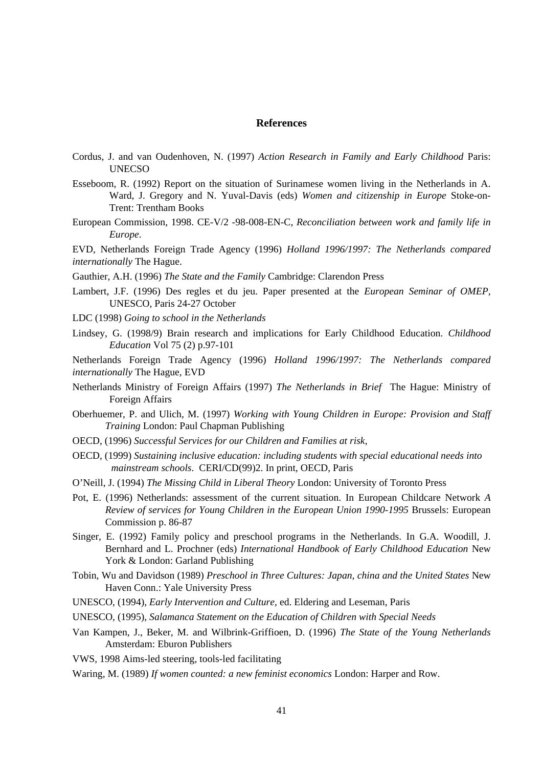#### **References**

- Cordus, J. and van Oudenhoven, N. (1997) *Action Research in Family and Early Childhood* Paris: UNECSO
- Esseboom, R. (1992) Report on the situation of Surinamese women living in the Netherlands in A. Ward, J. Gregory and N. Yuval-Davis (eds) *Women and citizenship in Europe* Stoke-on-Trent: Trentham Books
- European Commission, 1998. CE-V/2 -98-008-EN-C, *Reconciliation between work and family life in Europe*.
- EVD, Netherlands Foreign Trade Agency (1996) *Holland 1996/1997: The Netherlands compared internationally* The Hague.
- Gauthier, A.H. (1996) *The State and the Family* Cambridge: Clarendon Press
- Lambert, J.F. (1996) Des regles et du jeu. Paper presented at the *European Seminar of OMEP,* UNESCO, Paris 24-27 October
- LDC (1998) *Going to school in the Netherlands*
- Lindsey, G. (1998/9) Brain research and implications for Early Childhood Education. *Childhood Education* Vol 75 (2) p.97-101

Netherlands Foreign Trade Agency (1996) *Holland 1996/1997: The Netherlands compared internationally* The Hague, EVD

- Netherlands Ministry of Foreign Affairs (1997) *The Netherlands in Brief* The Hague: Ministry of Foreign Affairs
- Oberhuemer, P. and Ulich, M. (1997) *Working with Young Children in Europe: Provision and Staff Training* London: Paul Chapman Publishing
- OECD, (1996) *Successful Services for our Children and Families at risk*,
- OECD, (1999) *Sustaining inclusive education: including students with special educational needs into mainstream schools*. CERI/CD(99)2. In print, OECD, Paris
- O'Neill, J. (1994) *The Missing Child in Liberal Theory* London: University of Toronto Press
- Pot, E. (1996) Netherlands: assessment of the current situation. In European Childcare Network *A Review of services for Young Children in the European Union 1990-1995* Brussels: European Commission p. 86-87
- Singer, E. (1992) Family policy and preschool programs in the Netherlands. In G.A. Woodill, J. Bernhard and L. Prochner (eds) *International Handbook of Early Childhood Education* New York & London: Garland Publishing
- Tobin, Wu and Davidson (1989) *Preschool in Three Cultures: Japan, china and the United States* New Haven Conn.: Yale University Press
- UNESCO, (1994), *Early Intervention and Culture*, ed. Eldering and Leseman, Paris
- UNESCO, (1995), *Salamanca Statement on the Education of Children with Special Needs*
- Van Kampen, J., Beker, M. and Wilbrink-Griffioen, D. (1996) *The State of the Young Netherlands* Amsterdam: Eburon Publishers
- VWS, 1998 Aims-led steering, tools-led facilitating
- Waring, M. (1989) *If women counted: a new feminist economics* London: Harper and Row.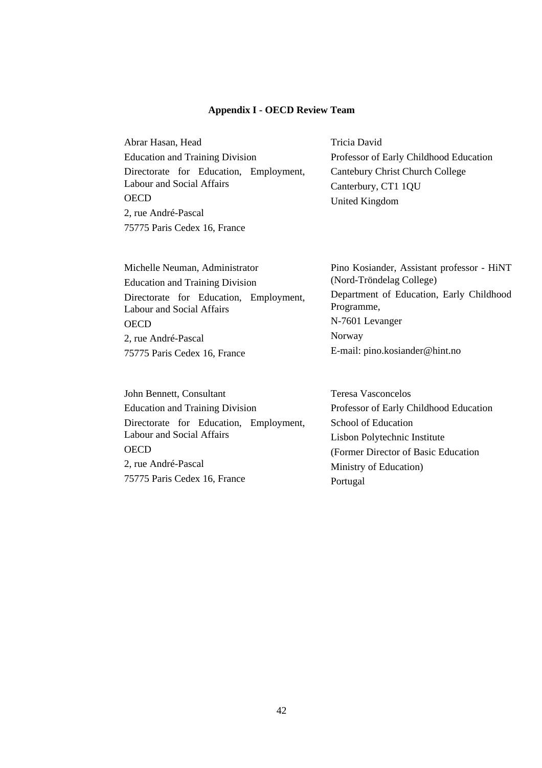#### **Appendix I - OECD Review Team**

Abrar Hasan, Head Education and Training Division Directorate for Education, Employment, Labour and Social Affairs **OECD** 2, rue André-Pascal 75775 Paris Cedex 16, France

Tricia David Professor of Early Childhood Education Cantebury Christ Church College Canterbury, CT1 1QU United Kingdom

Michelle Neuman, Administrator Education and Training Division Directorate for Education, Employment, Labour and Social Affairs **OECD** 2, rue André-Pascal 75775 Paris Cedex 16, France

Pino Kosiander, Assistant professor - HiNT (Nord-Tröndelag College) Department of Education, Early Childhood Programme, N-7601 Levanger Norway E-mail: pino.kosiander@hint.no

John Bennett, Consultant Education and Training Division Directorate for Education, Employment, Labour and Social Affairs **OECD** 2, rue André-Pascal 75775 Paris Cedex 16, France

Teresa Vasconcelos Professor of Early Childhood Education School of Education Lisbon Polytechnic Institute (Former Director of Basic Education Ministry of Education) Portugal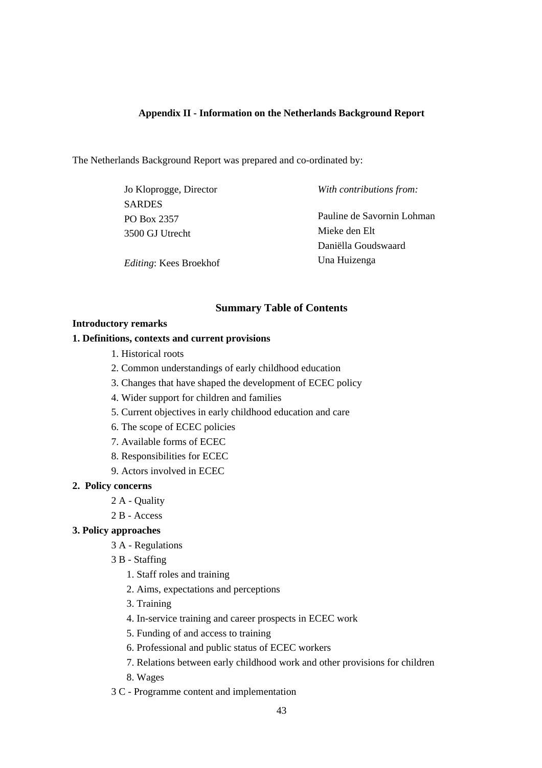# **Appendix II - Information on the Netherlands Background Report**

The Netherlands Background Report was prepared and co-ordinated by:

| Jo Kloprogge, Director        | With contributions from:   |
|-------------------------------|----------------------------|
| <b>SARDES</b>                 |                            |
| PO Box 2357                   | Pauline de Savornin Lohman |
| 3500 GJ Utrecht               | Mieke den Elt              |
|                               | Daniëlla Goudswaard        |
| <i>Editing:</i> Kees Broekhof | Una Huizenga               |

# **Summary Table of Contents**

### **Introductory remarks**

# **1. Definitions, contexts and current provisions**

- 1. Historical roots
- 2. Common understandings of early childhood education
- 3. Changes that have shaped the development of ECEC policy
- 4. Wider support for children and families
- 5. Current objectives in early childhood education and care
- 6. The scope of ECEC policies
- 7. Available forms of ECEC
- 8. Responsibilities for ECEC
- 9. Actors involved in ECEC

# **2. Policy concerns**

- 2 A Quality
- 2 B Access

# **3. Policy approaches**

- 3 A Regulations
- 3 B Staffing
	- 1. Staff roles and training
	- 2. Aims, expectations and perceptions
	- 3. Training
	- 4. In-service training and career prospects in ECEC work
	- 5. Funding of and access to training
	- 6. Professional and public status of ECEC workers
	- 7. Relations between early childhood work and other provisions for children
	- 8. Wages
- 3 C Programme content and implementation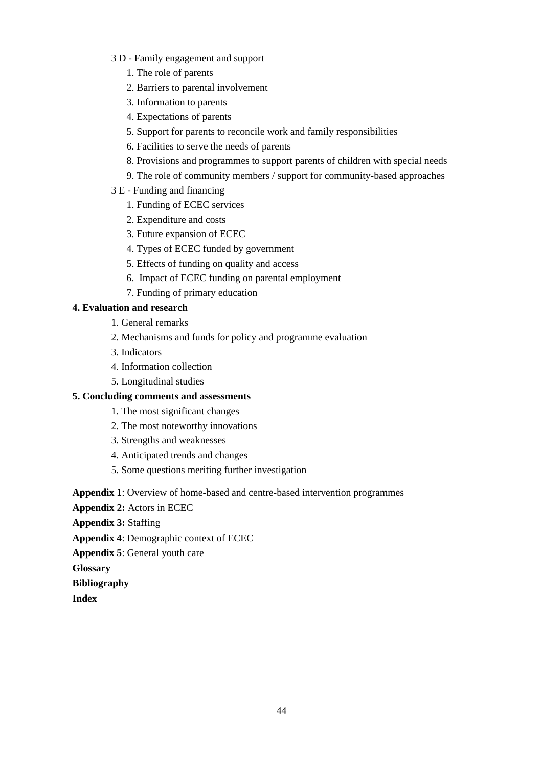- 3 D Family engagement and support
	- 1. The role of parents
	- 2. Barriers to parental involvement
	- 3. Information to parents
	- 4. Expectations of parents
	- 5. Support for parents to reconcile work and family responsibilities
	- 6. Facilities to serve the needs of parents
	- 8. Provisions and programmes to support parents of children with special needs
	- 9. The role of community members / support for community-based approaches
- 3 E Funding and financing
	- 1. Funding of ECEC services
	- 2. Expenditure and costs
	- 3. Future expansion of ECEC
	- 4. Types of ECEC funded by government
	- 5. Effects of funding on quality and access
	- 6. Impact of ECEC funding on parental employment
	- 7. Funding of primary education

# **4. Evaluation and research**

- 1. General remarks
- 2. Mechanisms and funds for policy and programme evaluation
- 3. Indicators
- 4. Information collection
- 5. Longitudinal studies

# **5. Concluding comments and assessments**

- 1. The most significant changes
- 2. The most noteworthy innovations
- 3. Strengths and weaknesses
- 4. Anticipated trends and changes
- 5. Some questions meriting further investigation

**Appendix 1**: Overview of home-based and centre-based intervention programmes

- **Appendix 2:** Actors in ECEC
- **Appendix 3:** Staffing
- **Appendix 4**: Demographic context of ECEC
- **Appendix 5**: General youth care

**Glossary**

# **Bibliography**

**Index**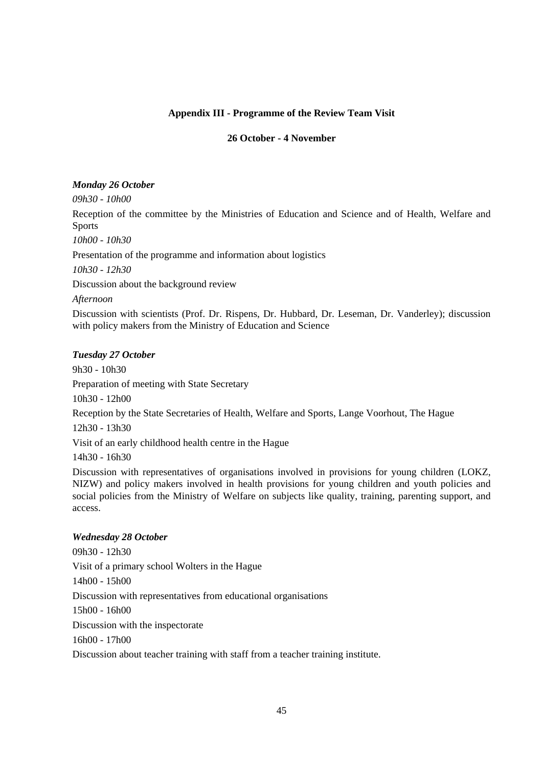# **Appendix III - Programme of the Review Team Visit**

### **26 October - 4 November**

# *Monday 26 October*

*09h30 - 10h00*

Reception of the committee by the Ministries of Education and Science and of Health, Welfare and Sports

*10h00 - 10h30*

Presentation of the programme and information about logistics

*10h30 - 12h30*

Discussion about the background review

*Afternoon*

Discussion with scientists (Prof. Dr. Rispens, Dr. Hubbard, Dr. Leseman, Dr. Vanderley); discussion with policy makers from the Ministry of Education and Science

### *Tuesday 27 October*

9h30 - 10h30 Preparation of meeting with State Secretary 10h30 - 12h00 Reception by the State Secretaries of Health, Welfare and Sports, Lange Voorhout, The Hague 12h30 - 13h30 Visit of an early childhood health centre in the Hague 14h30 - 16h30 Discussion with representatives of organisations involved in provisions for young children (LOKZ,

NIZW) and policy makers involved in health provisions for young children and youth policies and social policies from the Ministry of Welfare on subjects like quality, training, parenting support, and access.

#### *Wednesday 28 October*

09h30 - 12h30 Visit of a primary school Wolters in the Hague 14h00 - 15h00 Discussion with representatives from educational organisations 15h00 - 16h00 Discussion with the inspectorate 16h00 - 17h00 Discussion about teacher training with staff from a teacher training institute.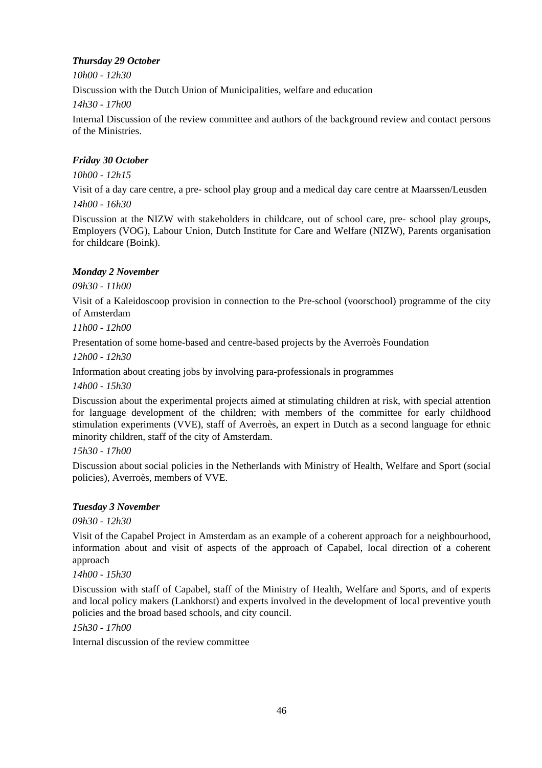# *Thursday 29 October*

*10h00 - 12h30*

Discussion with the Dutch Union of Municipalities, welfare and education

*14h30 - 17h00*

Internal Discussion of the review committee and authors of the background review and contact persons of the Ministries.

# *Friday 30 October*

*10h00 - 12h15*

Visit of a day care centre, a pre- school play group and a medical day care centre at Maarssen/Leusden *14h00 - 16h30*

Discussion at the NIZW with stakeholders in childcare, out of school care, pre- school play groups, Employers (VOG), Labour Union, Dutch Institute for Care and Welfare (NIZW), Parents organisation for childcare (Boink).

# *Monday 2 November*

*09h30 - 11h00*

Visit of a Kaleidoscoop provision in connection to the Pre-school (voorschool) programme of the city of Amsterdam

*11h00 - 12h00*

Presentation of some home-based and centre-based projects by the Averroès Foundation

*12h00 - 12h30*

Information about creating jobs by involving para-professionals in programmes

*14h00 - 15h30*

Discussion about the experimental projects aimed at stimulating children at risk, with special attention for language development of the children; with members of the committee for early childhood stimulation experiments (VVE), staff of Averroès, an expert in Dutch as a second language for ethnic minority children, staff of the city of Amsterdam.

*15h30 - 17h00*

Discussion about social policies in the Netherlands with Ministry of Health, Welfare and Sport (social policies), Averroès, members of VVE.

# *Tuesday 3 November*

*09h30 - 12h30*

Visit of the Capabel Project in Amsterdam as an example of a coherent approach for a neighbourhood, information about and visit of aspects of the approach of Capabel, local direction of a coherent approach

*14h00 - 15h30*

Discussion with staff of Capabel, staff of the Ministry of Health, Welfare and Sports, and of experts and local policy makers (Lankhorst) and experts involved in the development of local preventive youth policies and the broad based schools, and city council.

*15h30 - 17h00*

Internal discussion of the review committee